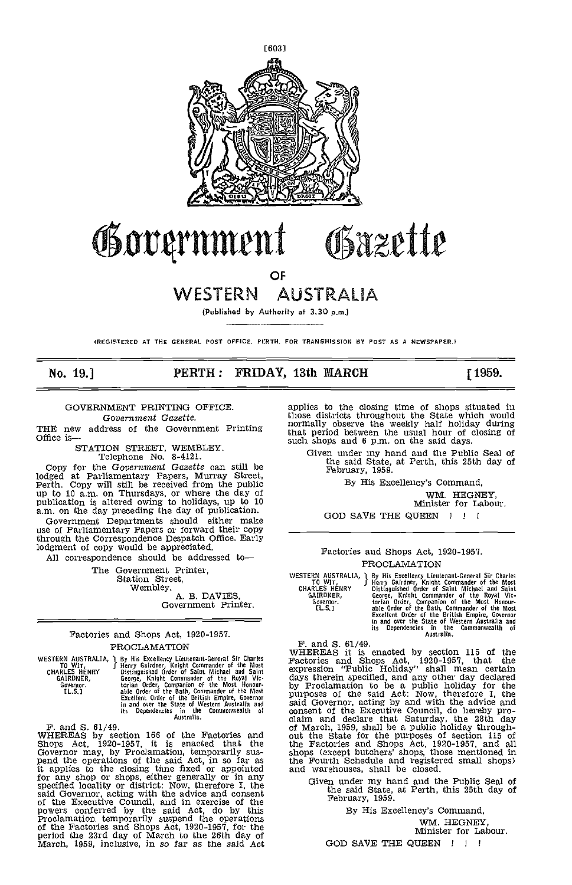

# Government Obazette

OF

# WESTERN AUSTRALIA

(Published by Authority at 3.30 p.m.)

(REGISTERED AT THE GENERAL POST OFFICE, PERTH. FOR TRANSMISSION SY POST AS A NEWSPAPER.)

### No. 19.] **PERTH: FRIDAY, 13th MARCH** [1959.

### GOVERNMENT PRINTING OFFICE. Government Ga2ette.

THE new address of the Government Printing<br>Office is—<br>STATION STREET, WEMBLEY.

STATION STREET, WEMBLEY.<br>Telephone No. 8-4121. Copy for the Government Gazette can still be lodged at Parliamentary Papers, Murray Street, Perth. Copy will still be received from the public up to 10 am. on Thursdays, or where the day of publication is altered owing to holidays, up to 10 am. on the day preceding the day of publication.

Government Departments should either make use of Parliamentary Papers or forward their copy \_\_\_\_ through the Correspondence Despatch Office. Early lodgment of copy would be appreciated. All correspondence should be addressed to

The Government Printer,<br>Station Street,<br>Wembley.

A. B. DAVIES, Government Printer.

### Factories and Shops Act, 1920-1957. PROCLAMATION

|                      | WESTERN AUSTRALIA, I By His Excellency Lieutenant-General Sir Charles | r.  |
|----------------------|-----------------------------------------------------------------------|-----|
| TO WIT.              | Henry Gairdner, Knight Commander of the Most                          |     |
| <b>CHARLES HENRY</b> | Distinguished Order of Saint Michael and Saint                        | ex  |
| GAIRDNER.            | George, Knight Commander of the Royal Vic-                            | đε  |
| Governor.            | torian Order, Companion of the Most Honour-                           | b.  |
| EL.S.1               | able Order of the Bath, Commander of the Most                         |     |
|                      | Excellent Order of the British Empire, Governor                       | p۱  |
|                      | in and over the State of Western Australia and                        | Sa  |
|                      | its Dependencies in the Commonwealth<br>- of                          | co  |
|                      | Australia.                                                            | e1. |

F. and S. 61/49. WHEREAS by section 166 of the Factories and Shops Act, 1920-1951, it is enacted that the Governor may, by Proclamation, temporarily sus-<br>governor may, by Proclamation, temporarily sus-<br>pend the operations of the said Act, in so far as the F'c<br>it applies to the closing time fixed or appointed and w<br>specified lo

applies to the closing time of shops situated in those districts throughout the State which would normally observe the weekly half holiday during that period between the usual hour of closing of such shops and 6 p.m. on the said days.

Given under my hand and the Public Seal of the said State, at Perth, this 25th day of February, 1959.

By His Excellency's Command,

WM. HEGNEY, Minister for Labour.

GOD SAVE THE QUEEN  $\quad$  !!

#### Factories and Shops Act, 1920-1957. PROCLAMATION

WESTERN AUSTRALIA, J By His Excellency Lieutenant-General Sir Charles TO WIT, Henry Gairdner, Knight Commander of the Royal Victorial CHARLES HENRY Distinguished Order of Saint Michael and Saint GARLES HENRY George, Knight

F. and 5. 61/49. WHEREAS it is enacted by section 115 of the Factories and Shops Act, 1920-1957, that the expression "Public Holiday" shall mean certain days therein specified, and any other day declared by Froclamation to be a public holiday for the purposes of the said Act: Now, therefore I, the said Governor, acting by and with the advice and consent of the Executive Council, do hereby pro- claim and declare that Saturday, the 28th day of March, 1959, shall be a public holiday through- out the State for the purposes of section 115 of the Factories and Shops Act, 1920-1957, and all shops (except butchers' shops, those mentioned in the Fourth Schedule and registercd small shops) and warehouses, shall be closed.

Given under my hand and the Public Seal of the said State, at Perth, this 25th day of February, 1959.

By His Excellency's Command, WM. HEGNEY,<br>Minister for Labour.

GOD SAVE THE QUEEN !!!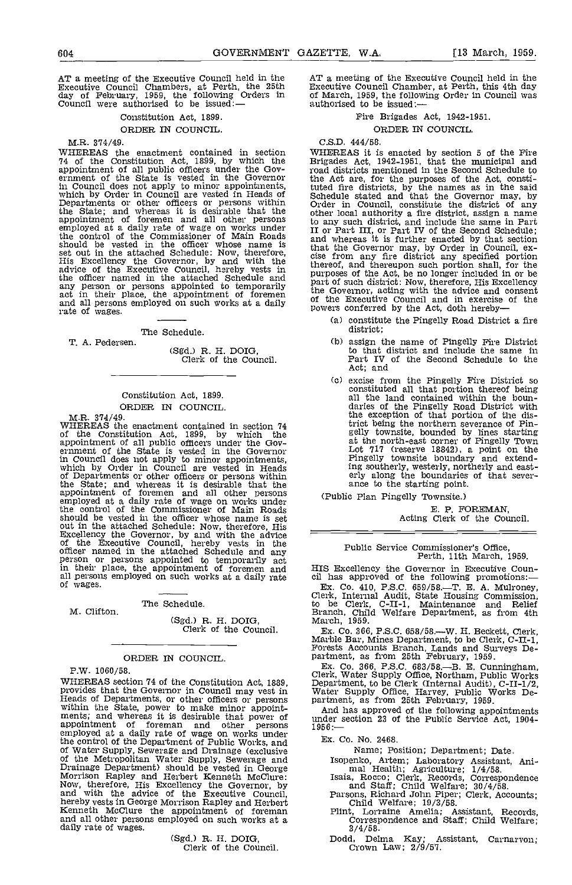AT a meeting of the Executive Council held in the Executive Council Chambers, at Perth, the 25th day of February, 1959, the following Orders in Council were authorised to be issued:—

#### Constitution Act, 1899.

#### ORDER IN COUNCIL.

MR. 374/49.

WHEREAS the enactment contained in section 74 of the Constitution Act, 1899, by which the appointment of all public officers under the Gov- ernment of the State is vested in the Governor in Council does not apply to minor appointments, which by Order in Council are vested in Heads of Schedu<br>Departments or other officers or persons within Order the State; and whereas it is desirable that the other persons to an appointment of foremen and all other persons to an employed at a daily rate of wage on works under TI or the control of the Commissioner of Main Roads and<br>should be vested in the officer whose name is and set out in the attached Schedule: Now, therefore, head that the excellency the Governor, by and with the there advice of the Executive Council, hereby vests in the officer named in the attached Schedule and part of any person or persons appointed to temporarily act in their place, the appointment of foremen<br>and all persons employed on such works at a daily of the rate of wages.

The Schedule.

T. A. Pedersen

Clerk of the Council.

### Constitution Act, 1899. ORDER IN COUNCIL.

MR. 374/49. WHEREAS the enactment contained in section 74 of the Constitution Act, 1899, by which the appointment of all public officers under the Gov- ernment of the State is vested in the Governor in Council does not apply to minor appointments, which by Order in Council are vested in Heads of Departments or other officers or persons within the State; and whereas it is desirable that the appointment of foremen and all other persons<br>employed at a daily rate of wage on works under the control of the Commissioner of Main Roads should be vested in the officer whose name is set<br>out in the attached Schedule: Now, therefore, His<br>Excellency the Governor, by and with the advice<br>of the Executive Council, hereby vests in the<br>officer named in the attach all persons employed on such works at a daily rate of wages.

#### The Schedule.

(Sgd.) R. H. DOIG, Clerk of the Council.

#### ORDER IN COUNCIL,

P.W. 1060/58.

M. ClIfton.

WHEREAS section 74 of the Constitution Act, 1889, provides that the Governor in Council may vest in provides that the Governor in Council may vest in<br>Heads of Departments, or other officers or persons partm<br>within the State, power to make minor appoint-<br>ments; and whereas it is desirable that power of under<br>appointment of Water Supply, Sewerage and Drainage (exclusive<br>of the Metropolitan Water Supply, Sewerage and<br>Drainage Department) should be vested in George<br>Morrison Rapley and Herbert Kenneth McClure: Is:<br>Now, therefore, His Excellen and with the advice of the Executive Council, Par<br>hereby vests in George Morrison Rapley and Herbert<br>Kenneth McClure the appointment of foreman Plin Kenneth McClure the appointment of foreman and all other persons employed on such works at a daily rate of wages.

(Sgd.) R. H. DOIG, Clerk of the Council,

AT a meeting of the Executive Council held in the Executive Council Chamber, at Perth, this 4th day of March, 1959, the following Order in Council was authorised to be issued:

#### Fire Brigades Act, 1942-1951.

ORDER IN COUNCIL.

#### C,S.D. 444/58.

WHEREAS it is enacted by section 5 of the Fire Brigades Act, 1942-1951, that the municipal and road districts mentioned in the Second Schedule to the Act are, for the purposes of the Act, consti-tuted fire districts, by the names as in the said Schedule stated and that the Governor may, by Order in Council, constitute the district of any other local authority a fire district, assign a name to any such district, and include the same in Part II or Part III, or Part IV of the Second Schedule; and whereas it is further enacted by that section that the Governor may, by Order in Council, ex- cise from any fire district any specified portion thereof, and thereupon such portion shall, for the purposes of the Act, be no longer included in or be part of such district: Now, therefore, His Excellency the Governor, acting with the advice and consent of the Executive Council and in exercise of the powers conferred by the Act, doth hereby

- constitute the Pingelly Road District a fire district;
- assign the name of Pingelly Fire District<br>to that district and include the same in Part IV of the Second Schedule to the Act; and
- (o) excise from the Pingelly Fire District so constituted all that portion thereof being all the land contained within the boundaries of the Pingelly Road District with the exception of that portion of the district being the northern severance of Pin- gelly townsite, bounded by lines starting at the north-east corner of Pingelly Town Lot 717 (reserve 18842), a point on the Pingelly townsite boundary and extending southerly, westerly, northerly and east- erly along the boundaries of that sever- ance to the starting point.

(Public Plan Pingelly Townsite.)

E. P. FOREMAN,<br>Acting Clerk of the Council.

# Public Service Commissioner's Office, Perth, 11th March, 1959.

HIS Excellency the Governor in Executive Coun- cil has approved of the following promotions:

Ex. Co. 410, P.S.C. 659/58.—T. E. A. Mulroney, Clerk, Internal Audit, State Housing Commission, to be Clerk, C-II-1, Maintenance and Relief Branch, Child Welfare Department, as from 4th March, 1959.<br>Ex. Co. 366, P.S.C. 658

Ex. Co. 366, P.S.C. 683/58.—B. E. Cunningham,<br>Clerk, Water Supply Office, Northam, Public Works<br>Department, to be Clerk (Internal Audit), C-II-1/2,<br>Water Supply Office, Harvey, Public Works Department, as from 25th Februar

And has approved of the following appointments<br>under section 23 of the Public Service Act, 1904-<br>1956:

Ex. Co. No. 2468.

Name; Position; Department; Date.

Isopenko, Artem; Laboratory Assistant, Animal Health; Agriculture; 1/4/58.<br>Isaia, Rocco; Clerk, Records, Correspondence<br>and Staff; Child Welfare; 30/4/58.<br>Parsons, Richard John Piper; Clerk, Accounts;<br>Child Welfare; 19/3/5

Flint, Lorraine Amelia; Assistant, Records, Correspondence and Staff; Child Welfare; 3/4/58.<br>Dodd, Delma Kay; Assistant, Carnarvon;

Dodd, Delma Kay; A<br>Crown Law; 2/9/57.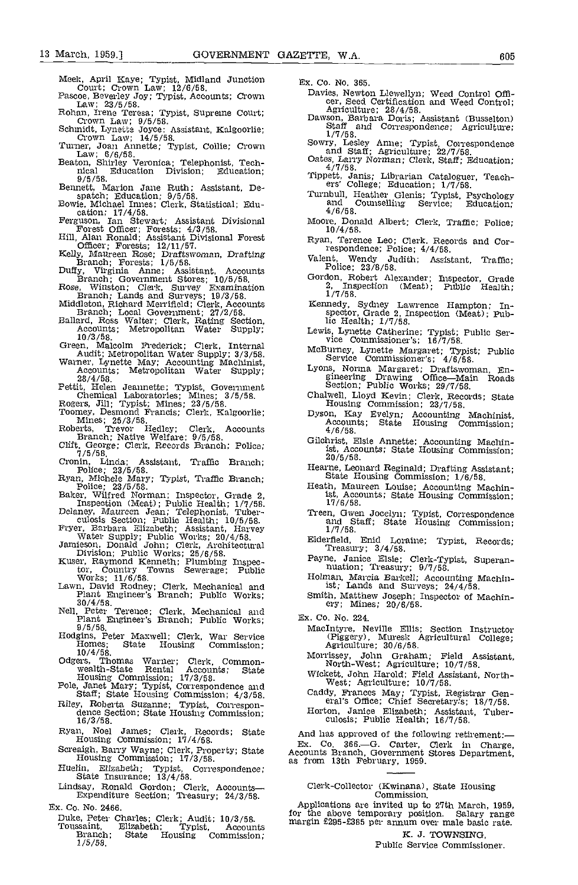- 
- 
- 
- 
- 
- 
- Bennett, Marion Jane Ruth; Assistant, Departer, Marion Jane Ruth; Assistant, Departer, Michael Imnes; Clerk, Statistical; Education; 174/58.<br>
Ferguson, 174/58.<br>
Therguson, 174/58.<br>
Therguson, Ian Stewart; Assistant Divisi
- 
- 
- 
- Duffy, Virginia Anne; Assistant, Accounts<br>
Branch; Government Stores; 10/5/58.<br>
Rose, Wirston; Clerk, Survey Examination<br>
Branch; Lands and Surveys: 19/3/58.<br>
Middleton, Richard Merrifield; Clerk, Accounts<br>
Branch; Local G
- Accounts, Accounts, Accounts, Accounts, Metropolitan Water Supply; 3/3/58.<br>
Circle, Malcoling Machinist, Accounting Machinist, Accounts; Metropolitan Water Supply;<br>
Accounts; Metropolitan Water Supply;
- 
- Recounts; Meannette; Typist, Government<br>
Pettit, Helen Jeannette; Typist, Government<br>
Chemical Laboratories; Mines; 3/5/58.<br>
Rogers, Jill; Typist; Mines; 23/5/58.<br>
Toomey, Desmond Francis; Clerk, Kalgoorlie;<br>
Roberts, Trev
- 
- 
- 
- Elift, George; Clerk, Records Branch; Police; 7/5/58.<br>Cronin, Linda; Assistant, Traffic Branch;
- 
- 
- Cronin, Linda; Assistant, Traffic Branch;<br>
Folice; 23/5/58.<br>
Ryan, Michele Mary; Typist, Traffic Branch;<br>
Police; 23/5/58.<br>
He Baker, Wilfred Norman; Inspector, Grade 2,<br>
Inspection (Meat); Public Health; 1/7/58.<br>
Delaney
- 
- 
- 
- tor, Country Towns Sewerage; Public
- Works; 11/6/58. Hawn, David Rodney; Clerk, Mechanical and Plant Engineer's Branch; Public Works; Sr 30/4/58.
- Nell, Engineer's Branch; Public Works;<br>Nell, Peter Terence; Clerk, Mechanical and<br>Plant Engineer's Branch; Public Works;<br>9/5/58.
- Hodgins, Peter Maxwell; Clerk, War Service (Piggery), Muresk Agricultural (<br>
Homes; State Housing Commission; 10/4/58.<br>
Odgers, Thomas Warner; Clerk, Common- Morrissey, John Graham; Field As<br>
North-West; Agriculture; 10/7/
- 
- 
- wealth-State Rental Accounts; State<br>
Housing Commission; 17/3/58.<br>
Pole, Janet Mary; Typist, Correspondence and<br>
Staff; State Housing Commission; 4/3/58.<br>
Pole, Janet Mary; Typist, Correspondence and<br>
Staff; State Housing
- Ryan, Noel James; Clerk, Records; State Housing Commission; 17/4/58.
- Screaigh, Barry Wayne; Clerk, Property; State Accounts Branch, Government<br>Housing Commission; 17/3/58. as from 13th February, 1959.
- Huelin, Elizabeth; Typist, Correspondence; State Insurance; 13/4/58.
- Lindsay, Ronald Gordon; Clerk, Accounts- Expenditure Section; Treasury; 24/3/58.
- Er. Co. No. 2466.
	- Duke, Peter Charles: Clerk; Audit; 10/3/58. Toussaint, Elizabeth; Typist, Accounts Branch; State Housing Commission; 1/5/58.
- Er. Co. No. 365.
- Meek, April Kaye; Typist, Midland Junction Court; Crown Law; 12/6/58. Pascoe, Beverley Joy; Typist, Accounts; Crown Law; 23/5/58. Rohan, Irene Teresa; Typist. Supreme Court; Crown Law; 9/5/58. Schmidt, Lynette Joyce; Assistant, Kalgoorlie; Crown Law; 14/5/58. Turner, Joan Annette; Typist, Collie; Crown Law; 6/6/58. Beaton, Shirley Veronica; Telephonist, Tech- nical Education Division; Education; 9/5/58.
	- Dawson, Barbara Doris; Assistant (Busselton)<br>Staff and Correspondence; Agriculture; 1/7/58.
	- Sowry, Lesley Anne; Typist, Correspondence<br>and Staff; Agriculture; 22/7/58.<br>Oates, Larry Norman; Clerk, Staff; Education;<br> $4/7/58$ .
	-
	-
	- Turnbull, Heather Glenis; Typist, Psychology and Counselling Service; Education; 4/6/58.
	- Moore, Donald Albert; Clerk, Traffic; Police; 10/4/58.
	- Ryan, Terence Leo; Clerk. Records and Cor-respondence; Police; 4/4/58.
	- Valent, Wendy Judith; Assistant, Traffic; Police; 23/8/58,
	- Gordon, Robert Alexander; Inspector, Grade 2, Inspection (Meat); Public Health;<br>1/7/58.
	- 2, Inspection (Meat); Public Health; 1/7/58.<br>Kennedy, Sydney Lawrence Hampton; Inspector, Grade 2, Inspection (Meat); Pub-<br>lic Health; 1/7/58.
	- Lewis, Lynette Catherine; Typist; Public Ser- vice Commissioner's; 16/7/58.
	- McBurney, Lynette Margaret; Typist' Public Service Commissioner's; 4/6/58.
	- Lyons, Norma Margaret; Draftswoman, En- gineering Drawing Office-Main Roads Section; Public Works; 29/7/58.
	- Chalwell, Lloyd Kevin; Clerk, Records; State<br>Housing Commission; 23/7/58.
	- I-lousing Commission; 23/7/58. Dyson, Kay Evelyn; Accounting Machinist, Accounts; State Housing Commission; 4/6/58.
	- Gilohrist, Elsie Annette; Accounting Machinist, Accounts; State Housing Commission; 20/5/58.
	- 20/5/58.<br>Hearne, Leonard Reginald; Drafting Assistant; State Housing Commission; 1/6/58.
	- Heath, Maureen Louise; Accounting Machinist, Accounts; State Housing Commission; 17/6/58.
	- Treen, Gwen Jocelyn; Typist, Correspondence and Staff; State Housing Commission; 1/7/58.<br>Elderfield, Enid Loraine; Typist, Records; Treasury;  $3/4/58$ .
	- Elderfield, Enid Loraine; Typist, Records; Treasury; 3/4/58. Payne, Janice Elsie; Clerk-Typist, Superan- nuation; Treasury; 9/7/58.
	-
	- Holman, Marcia Barkefl; Accounting Machin-ist; Lands and Surveys; 24/4/58.
	- Smith, Matthew Joseph; Inspector of Machin- ery; Mines; 20/6/58.
	- Er. Co. No. 224.
		- Maclntyre, Neville Ellis; Section Instructor (Piggery), Muresk Agricultural College; Agriculture; 30/6/58.
		- Morrissey, John Graham; Field Assistant,<br>North-West; Agriculture; 10/7/58.<br>Wickett, John Harold; Field Assistant, North-West; Agriculture; 10/7/58.<br>Caddy, Frances May; Typist, Registrar General's Office; Chief Secretary's;
		-
		-
		-

And has approved of the following retirement:-Ex. Co. 366.-G. Carter, Clerk in Charge, Accounts Branch, Government Stores Department,

Clerk-Collector (Kwinana), State Housing Commission.

Applications are invited up to 27th March, 1959, for the above temporary position. Salary range margin £295-E385 per annum over male basic rate.

K. J. TOWNSING, Public Service Commissioner.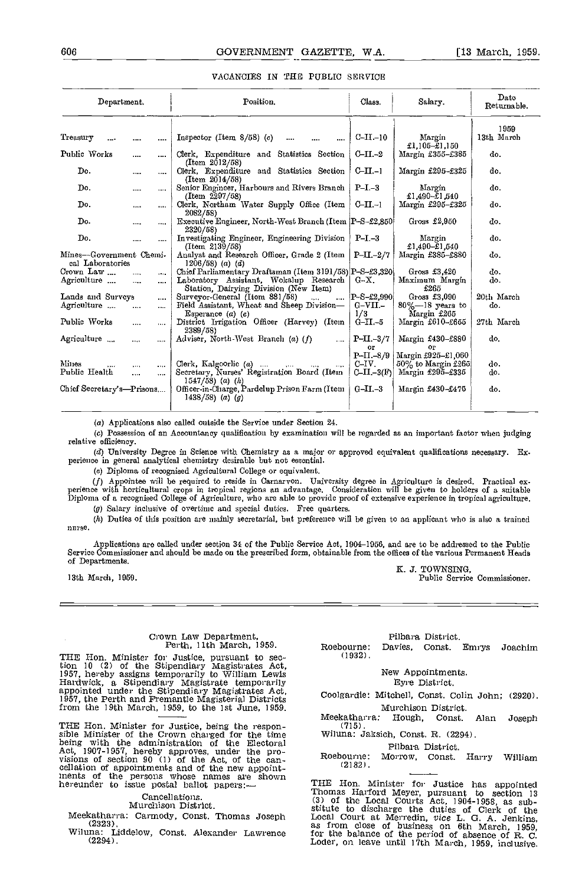| Department.                                 |          |              | Position.                                                                       | Class.                               | Salary.                                  | Date<br>Returnable. |
|---------------------------------------------|----------|--------------|---------------------------------------------------------------------------------|--------------------------------------|------------------------------------------|---------------------|
| Treasury                                    |          |              | Inspector (Item $8/58$ ) (c)<br>                                                | $C-II-10$                            | Margin<br>£1,105-£1,150                  | 1959<br>13th March  |
| Public Works                                | $\cdots$ |              | Clerk, Expenditure and Statistics Section<br>$(Item\ 2012/58)$                  | $C-II-2$                             | Margin £355-£385                         | do.                 |
| Do.                                         |          | $\cdots$     | Clerk, Expenditure and Statistics Section<br>(Item 2014/58)                     | $C-II-1$                             | Margin £295-£325                         | do.                 |
| Do.                                         |          | $\cdots$     | Senior Engineer, Harbours and Rivers Branch<br>(Item 2297/58)                   | $P-I-3$                              | Margin<br>$£1.490 - £1.540$              | do.                 |
| Do.                                         | $\cdots$ |              | Clerk, Northam Water Supply Office (Item<br>2082/58)                            | $C-II-1$                             | Margin £295-£325                         | do.                 |
| Do.                                         |          |              | Executive Engineer, North-West Branch (Item  P-S-£2.850 <br>2320/58)            |                                      | Gross $£2.950$                           | do.                 |
| Do.                                         |          |              | Investigating Engineer, Engineering Division<br>(Item 2139/58)                  | $P-I-3$                              | Margin<br>£1.490-£1.540                  | do.                 |
| Mines-Government Chemi-<br>cal Laboratories |          |              | Analyst and Research Officer, Grade 2 (Item<br>$1206/58$ (a) (d)                | $P-II.-2/7$                          | Margin £385-£880                         | do.                 |
| Crown Law                                   |          | $\cdots$     | Chief Parliamentary Draftsman (Item 3191/58) P-S-£3,320                         |                                      | Gross $£3.420$                           | do.                 |
| Agriculture                                 |          |              | Laboratory Assistant, Wokalup Research<br>Station, Dairying Division (New Item) | G-X.                                 | Maximum Margin<br>£265                   | do.                 |
| Lands and Surveys                           |          |              | Surveyor-General (Item 881/58)<br>$\cdots$                                      | $\left  \mathrm{P-S-L2.990} \right $ | Gross $£3.090$                           | 20th March          |
| Agriculture                                 | $\cdots$ |              | Field Assistant, Wheat and Sheep Division-<br>Esperance $(a)$ $(e)$             | $G-VII -$<br>1/3                     | $80\%$ --18 years to<br>Margin £265      | do.                 |
| Public Works                                |          | $\cdots$     | District Irrigation Officer (Harvey) (Item<br>2389/58)                          | $G-II-5$                             | Margin £610-£655                         | 27th March          |
| Agriculture                                 |          |              | Adviser, North-West Branch (a) $(f)$<br>$\cdots$                                | $P$ -II.-3/7<br>OГ                   | Margin £430-£880<br>ОP                   | do.                 |
| Mines                                       |          |              | Clerk, Kalgoorlie $(a)$                                                         | $P-II.-3/9$<br>C-IV.                 | Margin £925-£1,060<br>50% to Margin £265 | do.                 |
| Public Health                               | <br>     | $\cdots$<br> | Secretary, Nurses' Registration Board (Item<br>$1547/58$ (a) (h)                | $CLII - 3(F)$                        | Margin £295-£335                         | do.                 |
| Chief Secretary's—Prisons                   |          |              | Officer-in-Charge, Pardelup Prison Farm (Item<br>$1438/58$ (a) (g)              | $G-II-3$                             | Margin $£430 - £475$                     | do.                 |
|                                             |          |              |                                                                                 |                                      |                                          |                     |

#### VACANCIES IN THE PUBLIC SERVICE

(a) Applications also calied outside the Service under Section 24.

Possession of an Accountancy qualification by examination will be regarded as an important factor when judging relative efficiency.

(d) University Degree in Science with Chemistry as a major or approved equivalent qualifications necessary. Experience in general analytical chemistry desirable but not essential.

(c) Diploma of recognised Agricultural College or equivalent.

Appointee will be required to reside in Carnarvon. University degree in Agriculture is desired. Practical experience with horticultural crops in tropical regions an advantage. Consideration will be given to holders of a suitable<br>Diploma of a recognised College of Agriculture, who are able to provide proof of extensive experience

(g) Salary inclusive of overtime and special duties. Free quarters.

(h) Duties of this position are mainly secretarial, but preference will be given to an applicant who is also a trained nurse.

Applications are called under section 34 of the Public Service Act, 1904-1956, and are to be addressed to the Public Service Commissioner and should be made on the prescribed form, obtainable from the offices of the various Permanent Heads<br>of Departments. of Departments.<br>
13th March, 1959. Public Service Commissioner.<br>
13th March, 1959. Public Service Commissioner.

# Crown Law Department, Perth, 11th March 1959.

THE Hon. Minister for Justice, pursuant to section 10 (2) of the Stipendiary Magistrates Act, 1957, hereby assigns temporarily to William Lewis<br>Hardwick, a Stipendiary Magistrate temporarily<br>appointed under the Stipendiar from the 19th March, 1959, to the 1st June, 1959.

Meekatharra: Hough, Const. Alan Joseph<br>
sible Minister of the Crown charged for the time<br>
being with the administration of the Electoral<br>
Act, 1907-1957, hereby approves, under the pro-<br>
visions of section 90 (1) of the Ac

Cancellations.

Murchison District.

Meekatharra: Carmody, Const. Thomas Joseph (2323). Wiluna: Liddelow, Const. Alexander Lawrence

(2294).

|                      | Pilbara District. |                              |  |
|----------------------|-------------------|------------------------------|--|
| Roebourne:<br>71022) |                   | Davies, Const. Emrys Joachim |  |

(1932).

### New Appointments.

Eyre District.

Coolgardie: Mitchell, Const. Colin John; (2920). Murchison District.

Hough, Const. Alan Joseph

(715). Wiluna: Jaksich, Const. H. (2294).

#### Pilbara District.

Morrow, Const. Harry William (2182).

THE Hon. Minister for Justice has appointed Thomas Harford Meyer, pursuant to section 13 (3) of the Local Courts Act, 1904-1958, as substitute to discharge the duties of Clerk of the stitute to discharge the duties of Clerk of the as from close of business on 6th March, 1959, as from close of business on 6th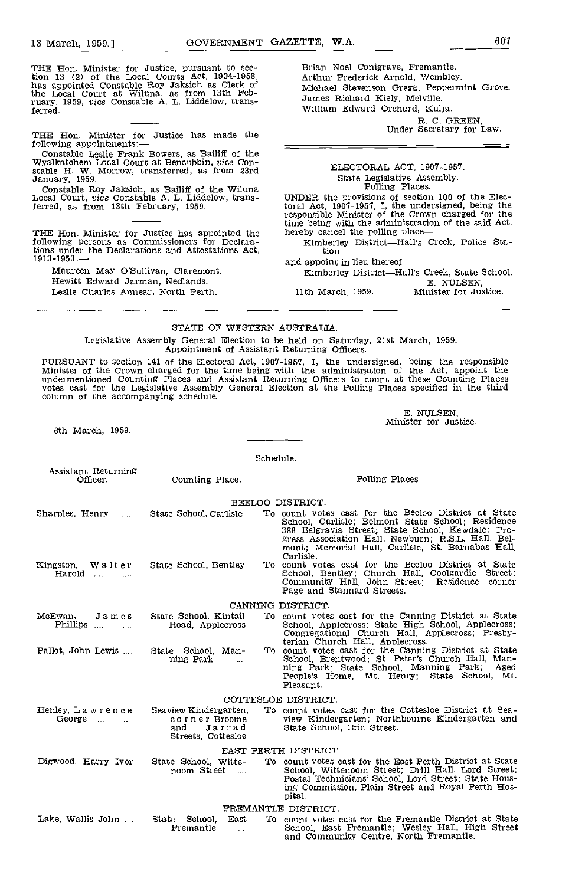THE Hon. Minister for Justice, pursuant to section 13 (2) of the Local Courts Act, 1904-1958, has appointed Constable Roy Jaksich as Clerk of the Local Court at Wiluna, as from lath Feb-ruary, 1959, vice Constable A. L. Liddelow, transferred.

THE Hon. Minister for Justice has made the following appointments:—

following appointments: Constable Leslie Frank Bowers, as Bailiff of the<br>
Wyalkatchem Local Court at Bencubbin, vice Con-<br>
stable H. W. Morrow, transferred, as from 23rd<br>
January, 1959.

Constable Roy Jaksich, as Bailiff of the Wiluna Local Court, vice Constable A. L. Liddelow, trans- ferred, as from 13th February, 1959.

THE Hon. Minister for Justice has appointed the following persons as Commissioners for Declarations under the Declarations and Attestations Act,<br>1913-1953:—<br>and appoint in lieu thereof

Maureen May O'sullivan, Claremont. Hewitt Edward Jarman, Nedlands. Leslie Charles Annear, North Perth.

Brian Noel Conigrave, Fremantle. Arthur Frederick Arnold, Wembley. Michael Stevenson Gregg, Peppermint Grove. James Richard Kiely, Melville. William Edward Orchard, Kulja.

R. C. GREEN,<br>Under Secretary for Law.

## ELECTORAL ACT, 1907-1957. State Legislative Assembly. Polling Places.

UNDER the provisions of section 100 of the Electoral Act, 1907-1957, I, the undersigned, being the responsible Minister of the Crown charged for the time being with the administration of the said Act,

tion

Kimberley District-Hall's Creek, State School. El. NULSEN 11th March, 1959. Minister for Justice.

#### STATE OF WESTERN AUSTRALIA.

Legislative Assembly General Election to be held on Saturday, 21st March, 1959. Appointment of Assistant Returning Officers.

PURSUANT to section 141 of the Electoral Act, 1907-1957, I, the undersigned, being the responsible<br>Minister of the Crown charged for the time being with the administration of the Act, appoint the<br>undermentioned Counting Pl

El. NULSEN, Minister for Justice.

6th March, 1959.

Schedule.

| Assistant Returning<br>Officer.            | Counting Place.                                                               | Polling Places.                                                                                                                                                                                                                                                                        |
|--------------------------------------------|-------------------------------------------------------------------------------|----------------------------------------------------------------------------------------------------------------------------------------------------------------------------------------------------------------------------------------------------------------------------------------|
|                                            |                                                                               | BEELOO DISTRICT.                                                                                                                                                                                                                                                                       |
| Sharples, Henry                            | State School, Carlisle                                                        | To count votes cast for the Beeloo District at State<br>School, Carlisle; Belmont State School; Residence<br>388 Belgravia Street; State School, Kewdale; Pro-<br>gress Association Hall, Newburn; R.S.L. Hall, Bel-<br>mont: Memorial Hall, Carlisle; St. Barnabas Hall,<br>Carlisle. |
| Kingston, Walter<br>Harold                 | State School, Bentley                                                         | To count votes cast for the Beeloo District at State<br>School, Bentley; Church Hall, Coolgardie Street;<br>Community Hall, John Street; Residence corner<br>Page and Stannard Streets.                                                                                                |
|                                            |                                                                               | CANNING DISTRICT.                                                                                                                                                                                                                                                                      |
| McEwan,<br>James<br>Phillips<br>$\cdots$   | State School, Kintail<br>Road, Applecross                                     | To count votes cast for the Canning District at State<br>School, Applecross; State High School, Applecross;<br>Congregational Church Hall, Applecross; Presby-<br>terian Church Hall, Applecross.                                                                                      |
| Pallot, John Lewis                         | State School, Man-<br>ning Park<br>$\sim 100$                                 | To count votes cast for the Canning District at State<br>School, Brentwood; St. Peter's Church Hall, Man-<br>ning Park: State School, Manning Park; Aged<br>People's Home, Mt. Henry; State School, Mt.<br>Pleasant.                                                                   |
|                                            |                                                                               | COTTESLOE DISTRICT.                                                                                                                                                                                                                                                                    |
| Henley, Lawrence<br>George $\dots$ $\dots$ | Seaview Kindergarten.<br>corner Broome<br>and<br>Jarrad<br>Streets, Cottesloe | To count votes cast for the Cottesloe District at Sea-<br>view Kindergarten: Northbourne Kindergarten and<br>State School, Eric Street.                                                                                                                                                |
|                                            |                                                                               | EAST PERTH DISTRICT.                                                                                                                                                                                                                                                                   |
| Digwood, Harry Ivor                        | State School, Witte-<br>noom Street                                           | To count votes cast for the East Perth District at State<br>School, Wittenoom Street; Drill Hall, Lord Street;<br>Postal Technicians' School, Lord Street; State Hous-<br>ing Commission, Plain Street and Royal Perth Hos-<br>pital.                                                  |
|                                            |                                                                               | FREMANTLE DISTRICT.                                                                                                                                                                                                                                                                    |
| Lake, Wallis John                          | State School,<br>East<br>Fremantle<br>$\mathbf{L}$                            | To count votes cast for the Fremantle District at State<br>School, East Fremantle; Wesley Hall, High Street<br>and Community Centre, North Fremantle.                                                                                                                                  |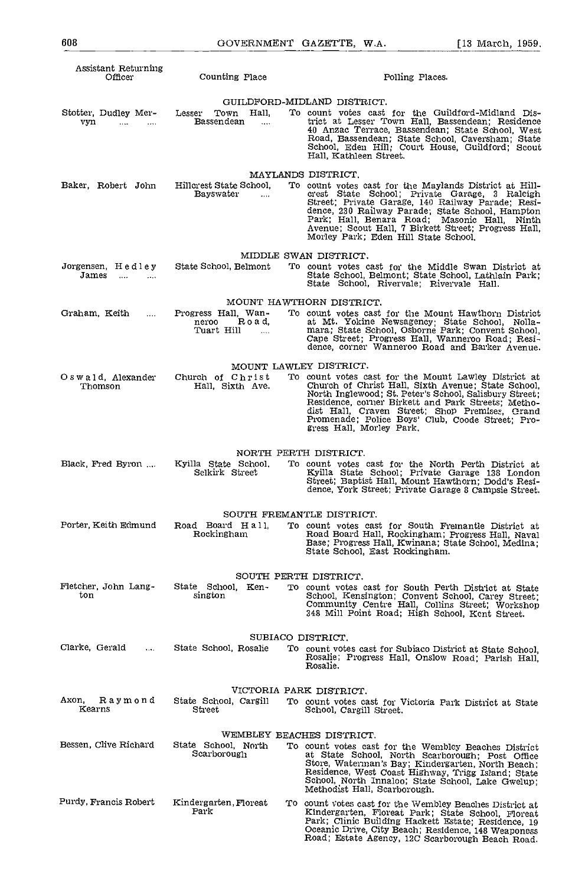| Assistant Returning<br>Officer                                       | Counting Place                                                                            | Polling Places.                                                                                                                                                                                                                                                                                                                                                                        |
|----------------------------------------------------------------------|-------------------------------------------------------------------------------------------|----------------------------------------------------------------------------------------------------------------------------------------------------------------------------------------------------------------------------------------------------------------------------------------------------------------------------------------------------------------------------------------|
| Stotter, Dudley Mer-<br>vyn<br>$\cdots$<br>$\cdots$                  | Lesser Town Hall.<br>Bassendean<br>$\ldots$                                               | GUILDFORD-MIDLAND DISTRICT.<br>To count votes cast for the Guildford-Midland Dis-<br>trict at Lesser Town Hall, Bassendean; Residence<br>40 Anzac Terrace, Bassendean; State School, West<br>Road, Bassendean; State School, Caversham; State<br>School, Eden Hill; Court House, Guildford; Scout<br>Hall, Kathleen Street.                                                            |
| Baker, Robert John                                                   | Hillcrest State School,<br><b>Bayswater</b><br>$\sim 100$                                 | MAYLANDS DISTRICT.<br>To count votes cast for the Maylands District at Hill-<br>crest State School; Private Garage, 3 Raleigh<br>Street; Private Garage, 140 Railway Parade; Resi-<br>dence, 230 Railway Parade; State School, Hampton<br>Park; Hall, Benara Road; Masonic Hall, Ninth<br>Avenue; Scout Hall, 7 Birkett Street; Progress Hall,<br>Morley Park; Eden Hill State School, |
| Jorgensen, Hedley<br>James<br>$\sim$ 100 $\sim$ 100 $\sim$<br>$\sim$ | State School, Belmont                                                                     | MIDDLE SWAN DISTRICT.<br>To count votes cast for the Middle Swan District at<br>State School, Belmont; State School, Lathlain Park;<br>State School, Rivervale; Rivervale Hall.                                                                                                                                                                                                        |
| Graham, Keith<br>$\ldots$                                            | Progress Hall, Wan-<br>Road.<br>neroo<br>Tuart Hill<br>$\sim$ $\sim$ $\sim$ $\sim$ $\sim$ | MOUNT HAWTHORN DISTRICT.<br>To count votes cast for the Mount Hawthorn District<br>at Mt. Yokine Newsagency; State School, Nolla-<br>mara; State School, Osborne Park; Convent School,<br>Cape Street; Progress Hall, Wanneroo Road; Resi-<br>dence, corner Wanneroo Road and Barker Avenue.                                                                                           |
| Oswald, Alexander<br>Thomson                                         | MOUNT LAWLEY DISTRICT.<br>Church of Christ<br>Hall, Sixth Ave.                            | To count votes cast for the Mount Lawley District at<br>Church of Christ Hall, Sixth Avenue; State School,<br>North Inglewood; St. Peter's School, Salisbury Street;<br>Residence, corner Birkett and Park Streets; Metho-<br>dist Hall, Craven Street; Shop Premises, Grand<br>Promenade; Police Boys' Club, Coode Street; Pro-<br>gress Hall, Morley Park,                           |
| Black, Fred Byron                                                    | Kyilla State School.<br>Selkirk Street                                                    | NORTH PERTH DISTRICT.<br>To count votes cast for the North Perth District at<br>Kyilla State School; Private Garage 138 London<br>Street; Baptist Hall, Mount Hawthorn; Dodd's Resi-<br>dence, York Street; Private Garage 8 Campsie Street.                                                                                                                                           |
| Porter, Keith Edmund                                                 | Road Board Hall<br>Rockingham                                                             | SOUTH FREMANTLE DISTRICT.<br>To count votes cast for South Fremantle District at<br>Road Board Hall, Rockingham; Progress Hall, Naval<br>Base; Progress Hall, Kwinana; State School, Medina;<br>State School, East Rockingham.                                                                                                                                                         |
| Fletcher, John Lang-<br>ton                                          | SOUTH PERTH DISTRICT,<br>State School, Ken-<br>sington                                    | To count votes cast for South Perth District at State<br>School, Kensington; Convent School, Carey Street;<br>Community Centre Hall, Collins Street; Workshop<br>348 Mill Point Road; High School, Kent Street.                                                                                                                                                                        |
| Clarke, Gerald<br>$\mathbf{r}$ .                                     | SUBIACO DISTRICT.<br>State School, Rosalie                                                | To count votes cast for Subiaco District at State School,<br>Rosalie; Progress Hall, Onslow Road; Parish Hall,<br>Rosalie.                                                                                                                                                                                                                                                             |
| Axon,<br>Raymond<br>Kearns                                           | VICTORIA PARK DISTRICT.<br>State School, Cargill<br>Street                                | To count votes cast for Victoria Park District at State<br>School, Cargill Street.                                                                                                                                                                                                                                                                                                     |
| Bessen, Clive Richard                                                | WEMBLEY BEACHES DISTRICT.<br>State School, North<br>Scarborough                           | To count votes cast for the Wembley Beaches District<br>at State School, North Scarborough; Post Office<br>Store, Waterman's Bay; Kindergarten, North Beach;<br>Residence, West Coast Highway, Trigg Island; State<br>School, North Innaloo; State School, Lake Gwelup;<br>Methodist Hall, Scarborough.                                                                                |
| Purdy, Francis Robert                                                | Kindergarten, Floreat<br>Park                                                             | To count votes cast for the Wembley Beaches District at<br>Kindergarten, Floreat Park; State School, Floreat<br>Park; Clinic Building Hackett Estate; Residence, 19<br>Oceanic Drive, City Beach; Residence, 148 Weaponess<br>Road; Estate Agency, 12C Scarborough Beach Road.                                                                                                         |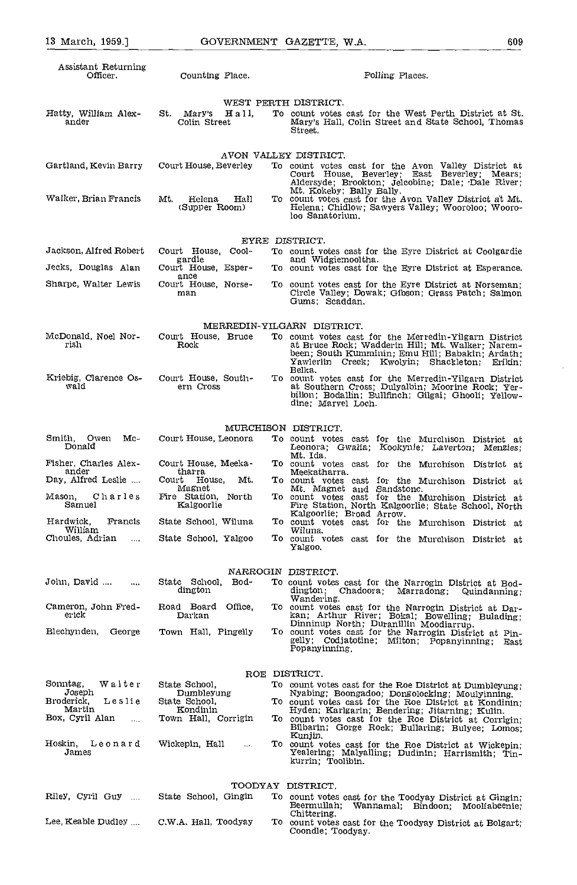| Assistant Returning<br>Officer.       | Counting Place.                             | Polling Places.                                                                                                                                                                                                |
|---------------------------------------|---------------------------------------------|----------------------------------------------------------------------------------------------------------------------------------------------------------------------------------------------------------------|
|                                       |                                             | WEST PERTH DISTRICT.                                                                                                                                                                                           |
| Hatty, William Alex-<br>ander         | St. Mary's<br>Hall.<br>Colin Street         | To count votes cast for the West Perth District at St.<br>Mary's Hall, Colin Street and State School, Thomas<br>Street.                                                                                        |
|                                       |                                             | AVON VALLEY DISTRICT.                                                                                                                                                                                          |
| Gartland, Kevin Barry                 | Court House, Beverley                       | To count votes cast for the Avon Valley District at<br>Court House, Beverley; East Beverley; Mears;<br>Aldersyde; Brookton; Jelcobine; Dale; Dale River;                                                       |
| Walker, Brian Francis                 | Mt.<br>Helena<br>Hall<br>(Supper Room)      | Mt. Kokeby; Bally Bally.<br>To count votes cast for the Avon Valley District at Mt.<br>Helena; Chidlow; Sawyers Valley; Wooroloo; Wooro-<br>loo Sanatorium.                                                    |
|                                       |                                             | EYRE DISTRICT.                                                                                                                                                                                                 |
| Jackson, Alfred Robert                | Court House, Cool-<br>gardie                | To count votes cast for the Eyre District at Coolgardie<br>and Widgiemooltha.                                                                                                                                  |
| Jecks, Douglas Alan                   | Court House, Esper-<br>ance                 | To count votes cast for the Eyre District at Esperance.                                                                                                                                                        |
| Sharpe, Walter Lewis                  | Court House, Norse-<br>man                  | To count votes cast for the Eyre District at Norseman:<br>Circle Valley; Dowak; Gibson; Grass Patch; Salmon<br>Gums; Scaddan.                                                                                  |
|                                       |                                             | MERREDIN-YILGARN DISTRICT.                                                                                                                                                                                     |
| McDonald, Noel Nor-<br>rish           | Court House, Bruce<br>Rock                  | To count votes cast for the Merredin-Yilgarn District<br>at Bruce Rock; Wadderin Hill; Mt. Walker: Narem-<br>been; South Kumminin; Emu Hill; Babakin; Ardath;<br>Yawlerlin Creek; Kwolyin; Shackleton; Erikin; |
| Kriebig, Clarence Os-<br>wald         | Court House, South-<br>ern Cross            | Belka.<br>To count votes cast for the Merredin-Yilgarn District<br>at Southern Cross; Dulyalbin; Moorine Rock; Yer-<br>billon; Bodallin; Bullfinch; Gilgai; Ghooli; Yellow-<br>dine; Marvel Loch.              |
|                                       |                                             |                                                                                                                                                                                                                |
| Smith, Owen Mc-                       | Court House, Leonora                        | MURCHISON DISTRICT.<br>To count votes cast for the Murchison District at                                                                                                                                       |
| Donald                                |                                             | Leonora; Gwalia; Kookynie; Laverton; Menzies;<br>Mt. Ida.                                                                                                                                                      |
| Fisher, Charles Alex-<br>ander        | Court House, Meeka-<br>tharra               | To count votes cast for the Murchison District at<br>Meekatharra.                                                                                                                                              |
| Day, Alfred Leslie                    | Court House,<br>Mt.                         | To count votes cast for the Murchison District at                                                                                                                                                              |
| Mason .<br>Charles<br>Samuel          | Magnet<br>Fire Station, North<br>Kalgoorlie | Mt. Magnet and Sandstone.<br>To count votes cast for the Murchison District at<br>Fire Station, North Kalgoorlie; State School, North<br>Kalgoorlie; Broad Arrow.                                              |
| Hardwick,<br>Francis<br>William       | State School, Wiluna                        | To count votes cast for the Murchison District at<br>Wiluna.                                                                                                                                                   |
| Choules, Adrian<br>$\cdots$           | State School, Yalgoo                        | To count votes cast for the Murchison District at<br>Yalgoo,                                                                                                                                                   |
|                                       |                                             | NARROGIN DISTRICT.                                                                                                                                                                                             |
| John, David<br>$\cdots$               | State School, Bod-<br>dington               | To count votes east for the Narrogin District at Bod-<br>dington; Chadoora;<br>Marradong; Quindanning;<br>Wandering.                                                                                           |
| Cameron, John Fred-<br>erick          | Road Board Office,<br>Darkan                | To count votes cast for the Narrogin District at Dar-<br>kan; Arthur River; Bokal; Bowelling; Bulading;<br>Dinninup North; Duranillin Moodiarrup.                                                              |
| Blechynden, George                    | Town Hall, Pingelly                         | To count votes cast for the Narrogin District at Pin-<br>gelly; Codjatotine; Milton; Popanyinning; East<br>Popanyinning                                                                                        |
|                                       |                                             | ROE DISTRICT.                                                                                                                                                                                                  |
| Sonntag,<br>Walter                    | State School,                               | To count votes cast for the Roe District at Dumbleyung:                                                                                                                                                        |
| Joseph<br>Broderick,<br>Leslie        | Dumbleyung<br>State School,                 | Nyabing; Boongadoo; Dongolocking; Moulyinning.<br>To count votes cast for the Roe District at Kondinin;                                                                                                        |
| Martin<br>Box, Cyril Alan<br>$\cdots$ | Kondinin<br>Town Hall, Corrigin             | Hyden; Karlgarin; Bendering; Jitarning; Kulin.<br>To count votes cast for the Roe District at Corrigin;<br>Bilbarin; Gorge Rock; Bullaring; Bulyee; Lomos;                                                     |
| Hoskin,<br>Leonard<br>James           | Wickepin, Hall<br>$\ldots$                  | Kunjin.<br>To count votes cast for the Roe District at Wickepin;<br>Yealering; Malyalling; Dudinin; Harrismith; Tin-<br>kurrin; Toolibin.                                                                      |
|                                       |                                             | TOODYAY DISTRICT.                                                                                                                                                                                              |
| Riley, Cyril Guy                      | State School, Gingin                        | To count votes cast for the Toodyay District at Gingin;<br>Beermullah; Wannamal; Bindoon; Mooliabeenie;<br>Chittering.                                                                                         |
| Lee, Keable Dudley                    | C.W.A. Hall, Toodyay                        | To count votes cast for the Toodyay District at Bolgart;<br>Coondle; Toodyay.                                                                                                                                  |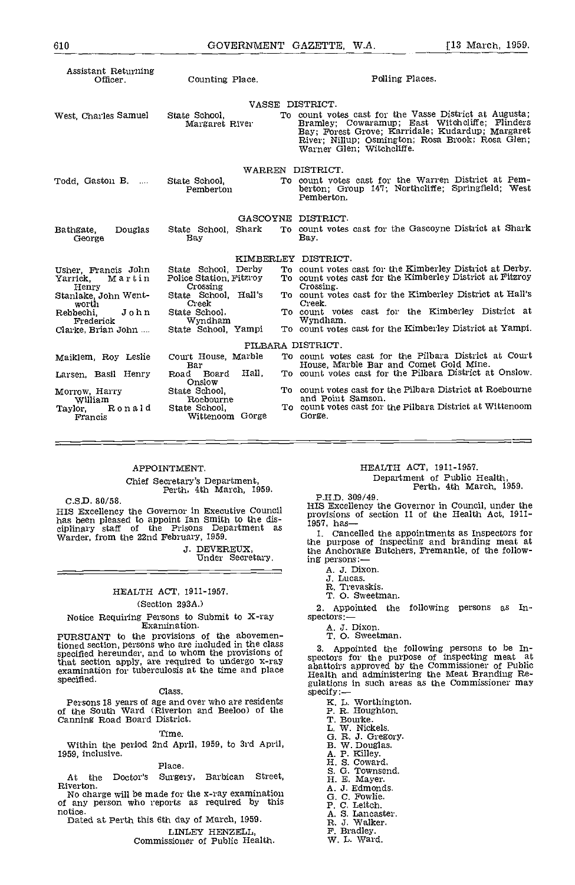| Assistant Returning<br>Officer.                          | Counting Place.                                                | Polling Places.                                                                                                                                                                                                                               |
|----------------------------------------------------------|----------------------------------------------------------------|-----------------------------------------------------------------------------------------------------------------------------------------------------------------------------------------------------------------------------------------------|
|                                                          |                                                                | VASSE DISTRICT.                                                                                                                                                                                                                               |
| West, Charles Samuel                                     | State School,<br>Margaret River                                | To count votes cast for the Vasse District at Augusta;<br>Bramley; Cowaramup; East Witchcliffe; Flinders<br>Bay; Forest Grove; Karridale; Kudardup; Margaret<br>River: Nillup; Osmington; Rosa Brook; Rosa Glen;<br>Warner Glen; Witchcliffe. |
|                                                          |                                                                | WARREN DISTRICT.                                                                                                                                                                                                                              |
| Todd, Gaston B.                                          | State School,<br>Pemberton                                     | To count votes cast for the Warren District at Pem-<br>berton; Group 147; Northcliffe; Springfield; West<br>Pemberton.                                                                                                                        |
|                                                          |                                                                | GASCOYNE DISTRICT.                                                                                                                                                                                                                            |
| Bathgate,<br>Douglas<br>George                           | State School, Shark<br>Bay                                     | To count votes cast for the Gascoyne District at Shark<br>Bay.                                                                                                                                                                                |
|                                                          |                                                                | KIMBERLEY DISTRICT.                                                                                                                                                                                                                           |
| Usher, Francis John<br>Yarrick.<br>Martin<br>Henry       | State School, Derby<br>Police Station, Fitzroy<br>Crossing     | To count votes cast for the Kimberley District at Derby.<br>To count votes cast for the Kimberley District at Fitzroy<br>Crossing.                                                                                                            |
| Stanlake, John Went-<br>worth                            | State School Hall's<br>Creek                                   | To count votes cast for the Kimberley District at Hall's<br>Creek.                                                                                                                                                                            |
| John<br>Rebbechi,<br>Frederick                           | State School,<br>Wyndham                                       | To count votes cast for the Kimberley District at<br>Wyndham.                                                                                                                                                                                 |
| Clarke, Brian John                                       | State School. Yampi                                            | To count votes cast for the Kimberley District at Yampi.                                                                                                                                                                                      |
|                                                          |                                                                | PILBARA DISTRICT.                                                                                                                                                                                                                             |
| Maiklem, Roy Leslie                                      | Court House, Marble<br>Bar                                     | To count votes cast for the Pilbara District at Court<br>House, Marble Bar and Comet Gold Mine.                                                                                                                                               |
| Larsen, Basil Henry                                      | Hall.<br>Road Board<br>Onslow                                  | To count votes cast for the Pilbara District at Onslow.                                                                                                                                                                                       |
| Morrow, Harry<br>william<br>Ronald<br>Taylor,<br>Francis | State School.<br>Roebourne<br>State School.<br>Wittenoom Gorge | To count votes cast for the Pilbara District at Roebourne<br>and Point Samson.<br>To count votes cast for the Pilbara District at Wittencom<br>Gorge.                                                                                         |
|                                                          |                                                                |                                                                                                                                                                                                                                               |

#### APPOINTMENT.

Chief Secretary's Department,<br>Perth, 4th March, 1959.

C.S.D. 80/58.<br>HIS Excellency the Governor in Executive Council U.S.D. 80/36.<br>
HIS Excellency the Governor in Council, under the<br>
has been pleased to appoint Ian Smith to the dis-<br>
ciplinary staff of the Prisons Department as<br>  $\begin{array}{ccc}\n & \text{HIS Excellency the Government of the Health Act, 1911-}{1957, \text{ has}} \\
\text{the original year, from the 22nd February,$ 

J. DEVEREUX, Under Secretary.

### HEALTH ACT, 1911-1957. (Section 293A.)

Notice Requiring Persons to Submit to X-ray Examination.

PURSUANT to the provisions of the abovementioned section, persons who are included in the class specified hereunder, and to whom the provisions of  $\sum_{n=1}^{\infty}$ that section apply, are required to undergo x-ray specto examination for tuberculosis at the time and place  $\frac{2.02 \text{ rad}}{\text{Hence}}$ specified.

#### Class,

Persons 18 years of age and over who are residents and the South Ward (Riverton and Beeloo) of the P. R. Hough Canning Road Board District.

#### Time.

Within the period 2nd April, 1959, to 3rd April, 1959, inclusIve,

#### Place.

At the Doctor's Surgery, Barbican Street, Riverton.

Riverton.<br>
No charge will be made for the x-ray examination of any person who reports as required by this G.C. Fowlie.<br>
notice.<br>
notice.<br>
A.S. Lancaster.

Dated at Perth this 6th day of March, 1959. LINLEY HENZELL

Commissioner of Public Health.

## HEALTH ACT, 1911-1957. Department of Public Health, Perth, 4th March, 1959.

PHD 309/49.

provisions of section 11 of the Health Act, 1911-

1. Cancelled the appointments as Inspectors for the purpose of inspecting and branding meat at the Anchorage Butchers, Fremantle, of the following persons:

- A. 3. Dixon.
- J. Lucas.
- R. Trevaskis.
- O. Sweetman.

2. Appointed the following persons as Inspectors:

- 
- A. J. Dixon. T. 0. Sweetman.

3. Appointed the following persons to be Inspectors for the purpose of inspecting meat at abattoirs approved by the Commissioner of Public Health and administering the Meat Branding Re-spations in such areas as the Commis

K. L. Worthington.<br>P. R. Houghton.

L. W. Nickels.<br>G. R. J. Gregory.<br>B. W. Douglas.<br>A. P. Killey.<br>H. S. Coward.

- 
- 
- 
- 
- 5. 0. Townsend. H. B. Mayer. A. J. Edmonds.
- 
- 
- 0. C. Fowlie. P. C. Leitch.
- 
- A. S. Lancaster, R. J. Walker.

- 
- F. Bradley. W. L. Ward.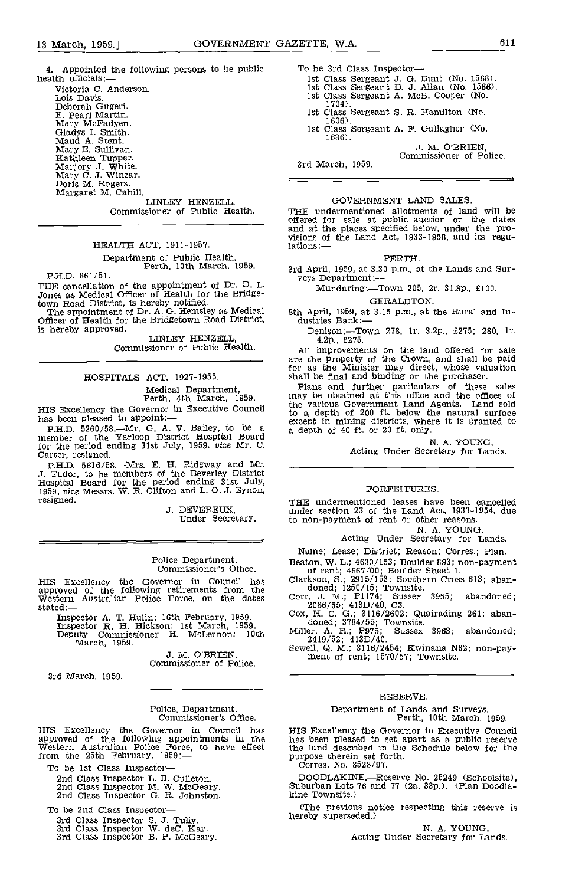4. Appointed the following persons to be public  $\qquad$  To be 3rd Class Inspector-health officials:— $\qquad$  health officials:

Victoria C. Anderson. Lois Davis. Deborah Gugeri. E. Pearl Martin. Mary McFadyen. Gladys I. Smith. Maud A. Stent. Mary E. Sullivan.<br>
Marjory J. White.<br>
Mary C. J. Winzar.<br>
Doris M. Rogers.<br>
Margaret M. Cahill.

LINLEY HENZELL. Commissioner of Public Health.

#### HEALTH ACT, 1911-1957.

# Department of Public Health, Perth, 10th March, 1959.

P.H.D. 861/51.

THE cancellation of the appointment of Dr. D. L. Jones as Medical Officer of Health for the Bridge-

town Road District, is hereby notified.<br>The appointment of Dr. A. G. Hemsley as Medical Officer of Health for the Bridgetown Road District, is hereby approved.

LINLEY HENZELL, Commissioner of Public Health.

HOSPITALS ACT, 1927-1955.

Medical Department,<br>Perth, 4th March, 1959.<br>HIS Excellency the Governor in Executive Council

HIS Excellency the Governor in Executive Council has been pleased to appoint:--<br>has been pleased to appoint:--<br>P.H.D. 5260/58.--Mr. G. A. V. Bailey, to be a a depti<br>member of the Yarloop District Hospital Board

for the period ending 31st July, 1959, vice Mr. C.<br>Carter, resigned.<br>P.H.D. 5616/58.—Mrs. E. H. Ridgway and Mr.<br>J. Tudor, to be members of the Beverley District<br>Hospital Board for the period ending 31st July,<br>1959, vice Me resigned.

3. DEVEREUX, Under Secretary.

# Police Department, Commissioner's Office.

HIS Excellency the Governor in Council has Clark<br>approved of the following retirements from the dates<br>Western Australian Police Force, on the dates Corr.<br>stated:—

Inspector A. T. Hulin: 16th February, 1959. Inspector R. H. Hickson: 1st March, 1959. Deputy Commissioner H. McLernon: 10th

March, 1959.

J. M. O'BRIEN, Commissioner of Police.

3rd March, 1959.

# Police, Department, Commissioner's Office,

HIS Excellency the Governor in Council has approved of the following appointments in the Western Australian Police Force, to have effect from the 25th February, 1959:-

To be 1st Class Inspector-<br>2nd Class Inspector L. B. Culleton.<br>2nd Class Inspector M. W. McGeary.<br>2nd Class Inspector G. B. Johnston.

To be 2nd Class Inspector-

3rd Class Inspector S. 3. Tully. 3rd Class Inspector W. deC. Kay. 3rd Class Inspector B. P. McGeary.

- 
- 

- -
	-
- 
- 1st Class Sergeant J. G. Bunt (No. 1588).<br>
1st Class Sergeant D. J. Allan (No. 1566).<br>
1st Class Sergeant A. McB. Cooper (No. 1704).<br>
1st Class Sergeant S. R. Hamilton (No. 1606).<br>
1st Class Sergeant A. F. Gallagher (No.

Commissioner of Police.

3rd March, 1959.

#### GOVERNMENT LAND SALES

THE undermentioned allotments of land will be offered for sale at public auction on the dates and at the places specified below, under the pro- visions of the Land Act, 1933-1958, and its regulations

PERTH.

3rd April, 1959, at 3.30 p.m., at the Lands and Sur- veys Department:-

Mundaring:-Town 205, 2r. 31.8p., £100.

GERALDTON.

8th April, 1959, at 3.15 p.m., at the Rural and In-<br>dustries Bank:-

Denison:.-Town 278, lr. 3.2p., £275; 280, lr. 4.2p., £275.

All improvements on the land offered for sale are the property of the Crown, and shall be paid for as the Minister may direct, whose valuation shall be final and binding on the purchaser. Plans and further particulars of these sales

may be obtained at this office and the offices of the various Government Land Agents. Land sold to a depth of 200 ft. below the natural surface except in mining districts, where it is granted to a depth of 40 ft. or 20 ft. only.

N. A. YOUNG,<br>Acting Under Secretary for Lands.

#### FORFEITURES.

THE undermentloned leases have been cancelled under section 23 of the Land Act, 1933-1954, due to non-payment of rent or other reasons.

N. A. YOUNG,<br>Acting Under Secretary for Lands.

Name; Lease; District; Reason; Corres.; Plan.

Beaton, W. L.; 4630/153; Boulder 893; non-payment<br>of rent; 4667/00; Boulder Sheet 1.<br>Clarkson, S.; 2915/153; Southern Cross 613; aban-

doned; 1250/15; Townsite.<br>
Corr, J. M.; P1174; Sussex 3955; abandoned;<br>
2086/55; 413D/40, C3.<br>
Cox, H. C. G.; 3116/2602; Quairading 261; abandoned; 3784/55; Townsite.<br>
Miller, A. R.; P975; Sussex 3963; abandoned;<br>
2419/52;

#### RESERVE.

# Department of Lands and Surveys, Perth, 10th March, 1959.

HIS Excellency the Governor in Executive Council has been pleased to set apart as a public reserve the land described in the Schedule below for the purpose therein set forth. Corres. No. 8528/97.

DOODLAKINE.—Reserve No. 25249 (Schoolsite), Suburban Lots 76 and 77 (2a. 33p.). (Plan Doodla-kine Townsite.)

(The previous notice respecting this reserve is hereby superseded.)

N. A. YOUNG,<br>Acting Under Secretary for Lands.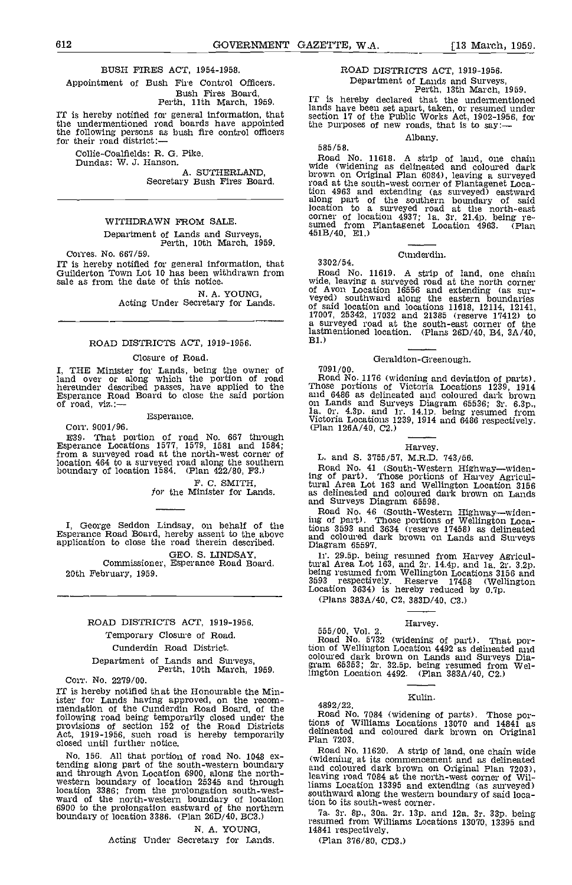#### BUSH FIRES ACT, 1954-1958.

Appointment of Bush Fire Control Officers. Bush Fires Board, Perth, 11th March, 1959.

IT is hereby notified for general information, that the section 17 of the Public Works Act, 1902-19<br>the undermentioned road boards have appointed the purposes of new roads, that is to say: the following persons as bush fire control officers for their road district:-

Collie-Coalfields: R. G. Pike.

Dundas: W. J. Hanson.

Secretary Bush Fires Board.

#### WITHDRAWN FROM SALE

Department of Lands and Surveys, Perth, 10th March, 1959.

Corres. No. 667/59. IT is hereby notified for general information, that Guilderton Town Lot 10 has been withdrawn from sale as from the date of this notice.

N. A. YOUNG,<br>Acting Under Secretary for Lands.

#### ROAD DISTRICTS ACT, 1919-1956.

#### Closure of Road.

I, THE Minister for Lands, being the owner of 17091/<br>land over or along which the portion of road Road hereunder described passes, have applied to the Esperance Road Board to close the said portion of road, viz.:-

#### Esperance.

Corr. 9001/96.

E39. That portion of road No. 667 through<br>Esperance Locations 1577, 1579, 1581 and 1584;<br>from a surveyed road at the north-west corner of L. and<br>location 464 to a surveyed road along the southern L. and<br>boundary of locati

F. C. SMITH, for the Minister for Lands.

I, George Seddon Lindsay, on behalf of the Esperance Road Board, hereby assent to the above application to close the road therein described.

GEO. S. LINDSAY,<br>Commissioner, Esperance Road Board. 20th February, 1959.

#### ROAD DISTRICTS ACT, 1919-1956.

#### Temporary Closure of Road.

#### Cunderdin Road District,

Department of Lands and Surveys, Perth, 10th March, 1959,

Corr. No. 2279/00.

IT is hereby notified that the Honourable the Minister for Lands having approved, on the recomister for Lands having approximation of the Cunderdin Road Board, of the following road being temporarily closed under the provisions of section 152 of the Road Districts tions of Vietnament and the provisions of section 152 of the Road Districts Act, 1919-1956, such road is hereby temporarily  $P_{\text{Rn}}$  7203, closed until further notice.

No. 156. All that portion of road No. 1048 extending along part of the south-western boundary and c and through Avon Location 6900, along the north- western boundary of location 25345 and through location 3386; from the prolongation south-west-<br>ward of the north-western boundary of location southward  $6900$  to the prolongation eastward of the northern  $\frac{1}{70}$ boundary of location 3386. (Plan 26D/40, BC3.)

N. A. YOUNG,

Acting Under Secretary for Lands.

## ROAD DISTRICTS ACT, 1919-1956. Department of Lands and Surveys, Perth, 13th March, 1959.

IT is hereby declared that the undermentioned lands have been set apart, taken, or resumed under section 17 of the Public Works Act, 1902-1956, for the purposes of new roads, that is to say:—

Albany.

Road No. 11618. A strip of land, one chain wide (widening as delineated and coloured dark brown on Original Plan 6084), leaving a surveyed road at the south-west corner of Plantagenet Loca-<br>tion 4963 and extending (as surveyed) eastward<br>along part of the southern boundary of said<br>location to a surveyed road at the north-east<br>corner of location  $4937$ ; 1a. 3r

#### Cunderdin.

3302/54.

585/58.

Road No. 11619. A strip of land, one chain<br>wide, leaving a surveyed road at the north corner<br>of Avon Location 16556 and extending (as sur-<br>veyed) southward along the eastern boundaries<br>of said location and locations 11618, lastmentioned location. (Plans 26D/40, B4, 3A/40, BI.)

#### Geraldton-Greenough.

7091/00.<br>Road No. 1176 (widening and deviation of parts). Road No. 1176 (widening and deviation of parts).<br>Those portions of Victoria Locations 1239, 1914<br>and 6486 as delineated and coloured dark brown<br>on Lands and Surveys Diagram 65536; 3r. 6.3p.,<br>1a. 0r. 4.3p. and 1r. 14.1p. be Victoria Locations 1239, 1914 and 6486 respectively. (Plan 126A/40, C2.)

#### Harvey.

L. and 5. 3755/57, M.R.D. 743/56.

Road No. 41 (South-Western Highway—widen-<br>ing of part). Those portions of Harvey Agricul-<br>tural Area Lot 163 and Wellington Location 3156 as delineated and coloured dark brown on Lands

and Surveys Diagram 65598.<br>Road No. 46 (South-Western Highway—widen-<br>ing of part). Those portions of Wellington Loca-<br>tions 3593 and 3634 (reserve 17458) as delineated and coloured dark brown on Lands and Surveys Diagram 65597.

ir. 29.5p. being resumed from Harvey Agricultural Area Lot 163, and 2r. 14.4p. and la, 2r. 3.2p. being resumed from Wellington Locations 3156 and <sup>3593</sup> respectively. Reserve <sup>17458</sup> (Wellington Location 3634) is hereby reduced by 0.7p. (Plans 383A/40, C2, 383D/40, C3.)

Harvey. 555/00, Vol. 2. Road No. 5732 (widening of part), That por-tion of Wellington Location 4492 as delineated and coloured dark brown on Lands and Surveys Dia- gram 65353; 2r. 32.5p being resumed from Wellington Location 4492. (Plan 383A/40, C2.)

#### ICulin.

4892/22.

Road No. 7084 (widening of parts). Those por- tions of Williams Locations 13070 and 14841 as delineated and coloured dark brown on Original Plan 7203.

Road No. 11620. A strip of land, one chain wide (widening at its commencement and as delineated<br>and coloured dark brown on Original Plan 7203), and coloured dark brown on Original Plan 7203), leaving road 7084 at the north-west corner of Williams Location 13395 and extending (as surveyed) southward along the western boundary of said location to its south-west corner.

Ia. 3r. Op., 30a. 2r. lap. and 12a. 3r. 33p. being resumed from Williams Locations 13070, 13395 and 14841 respectively.

(Plan 376/80, CD3.)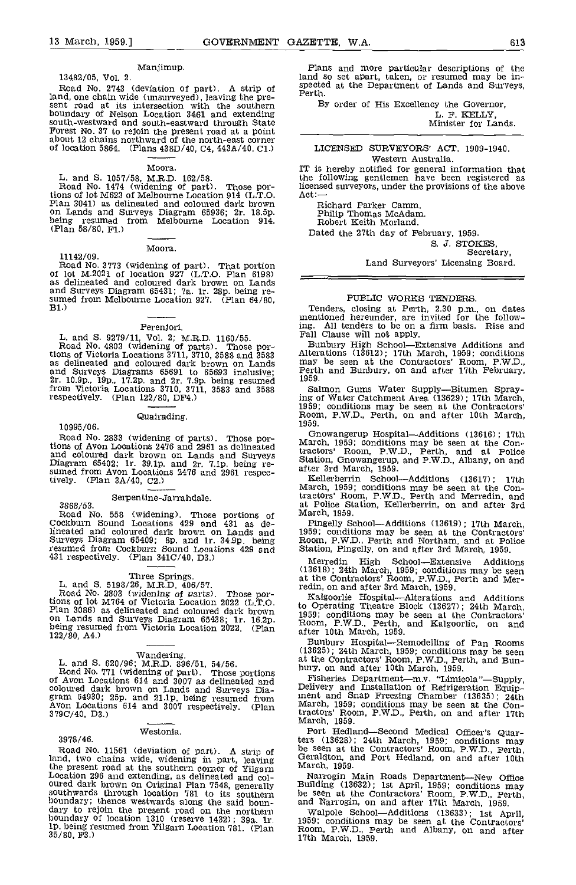#### Manjimup.

13482/05, Vol. 2.

Road No. 2743 (deviation of part). A strip of  $\frac{SP}{PQ}$ land, one chain wide (unsurveyed), leaving the pre-<br>sent road at its intersection with the southern By sent road at its intersection with the southern<br>boundary of Nelson Location 3461 and extending<br>south-westward and south-eastward through State south-westward and south-eastward through State Forest No. 37 to rejoin the present road at a point about 12 chains northward of the north-east corner of location 5864. (Plans 438D/40, 04, 443A/40, Cl.)

#### Moora.

L. and S. 1057/58, M.R.D. 162/58.<br>Road No. 1474 (widening of part). Those por-<br>tions of lot M623 of Melbourne Location 914 (L.T.O. tions of lot M623 of Melbourne Location 914 (L.T.O. Act:--<br>Plan 3041) as delineated and coloured dark brown b.<br>On Lands and Surveys Diagram 65936; 2r. 18.5p. being resumed from Melbourne Location 914. R<br>(Plan 58/80, Fl.) D

Moora.

11142/09. Road No. 3773 (widening of part). That portion of lot M.2021 of location 927 (L.T.O. Plan 6198) as delineated and coloured dark brown on Lands and Surveys Diagram 65431; 7a. 1r. 28p. being re-<br>sumed from Melbourne Location 927. (Plan 64/80, B1.)

### Perenjori.

L. and 5. 9279/11, Vol. 2; M.R.D. 1160/55. Road No. 4803 (widening of parts). Those portions of Victoria Locations 3711, 3710, 3588 and 3583 Alter<br>as delineated and coloured dark brown on Lands may and Surveys Diagrams 65691 to 65693 inclusive; Perth<br>2r. 10.9p., 19p., 17.2p. and 2r. 7.9p. being resumed 1959.<br>from Victoria Locations 3710, 3711, 3583 and 3588 Salt<br>respectively. (Plan 122/80, DF4.) ing of

#### Quairading.

10995/06.

Road No. 2833 (widening of parts). Those por-<br>tions of Avon Locations 2476 and 2961 as delineated<br>and coloured dark brown on Lands and Surveys<br>Diagram 65402; 1r. 39.1p. and 2r. 7.1p. being re-<br>sumed from Avon Locations 24 tively.  $(Plan 3A/40, C2.)$ 

Serpentine-Jarrahdale. 5868/53.<br>3868/53. at<br>Road No. 558 (widening). Those portions of <sup>Ma</sup>cckburn Sound Locations 429 and 431 as delineated and coloured dark brown on Lands and 1959;<br>Surveys Diagram 65409; 8p. and 1r. 34.9p. being Room,<br>resumed from Cockburn Sound Locations 429 and Station 431 respectively. (Plan 3410/40, D3.)

Three Springs.<br>
L. and S. 5198/26, M.R.D. 406/57.<br>
Road No. 2803 (widening of parts). Those por-<br>
tions of lot M764 of Victoria Location 2022 (L.T.O. tions of lot M764 of Victoria Location 2022 (L.T.O. bo Op<br>Plan 3086) as delineated and coloured dark brown on Lands and Surveys Diagram 65438; lr. 16.2p. being resumed from Victoria Location 2022. (Plan after<br>122/80, A4.)

Wandering. Wandering. L. and S. 620/96; M.R.D. 896/51, 54/56. at the<br>Road No. 771 (widening of part). Those portions bury,<br>of Avon Locations 614 and 3007 as delineated and Folive coloured dark brown on Lands and Surveys Dia-<br>gram 64930; 25p. and 21.1p. being resumed from and analysis Avon Locations 614 and 3007 respectively. (Plan 379C/40, D3.)

#### Westonia.

3978/46.

Road No. 11561 (deviation of part). A strip of be see<br>land, two chains wide, widening in part, leaving becausing the present road at the southern corner of Yilgarn March Location 296 and extending, as delineated and col-<br>
Docation 296 and extending, as delineated and col-<br>
oured dark brown on Original Plan 7548, generally Buildi southwards through location 781 to its southern be see boundary; thence westwards along the said boun- dary to rejoin the present road on the northern boundary to rejoin the present road on the northern<br>boundary of location 1310 (reserve 1432); 39a. lr.<br>1p, being resumed from Yilgarn Location 781. (Plan 35/80, F3.)

Plans and more particular descriptions of the land so set apart, taken, or resumed may be in-<br>spected at the Department of Lands and Surveys,<br>Perth.

By order of His Excellency the Governor,

L. F. KELLY Minister for Lands.

#### LICENSED SURVEYORS' ACT, 1909-1940. Western Australia.

IT is hereby notified for general information that the following gentlemen have been registered as licensed surveyors, under the provisions of the above<br>Act:—

Richard Parker Camm. Philip Thomas McAdam.<br>Robert Keith Morland.

Dated the 27th day of February, 1959.

S. J. STOKES,<br>Secretary,

Land Surveyors' Licensing Board.

#### PUBLIC WORRS TENDERS.

Tenders, closing at Perth, 2.30 p.m., on dates mentioned hereunder, are invited for the following. All tenders to be on a firm basis. Rise and Fall Clause will not apply.

Bunbury High School--Extensive Additions and Alterations (13612); 17th March, 1959; conditions may be seen at the Contractors' Room, P.W.D., Perth and Bunbury, on and after 17th February, 1959.

Salmon Gums Water Supply-Bitumen Spraying of Water Catchment Area (13629); 17th March, 1959; conditions may be seen at the Contractors' Room, P.W.D., Perth, on and after 10th March, 1959.

Gnowangerup Hospital-Additions (13616); 17th March 1959; conditions may be seen at the Contractors' Room, P.W.D., Perth, and at Police Station, Gnowangerup, and P.W.D., Albany, on and after 3rd March, 1959.

Kellerberrin School-Additions (13617); 17th March, 1959; conditions may be seen at the Con-tractors' Room, P.W.D., Perth and Merredin, and at Police Station, Kellerberrin, on and after 3rd March, 1959.

Pingelly School-Additions (13619); 17th March, 1959; conditions may be seen at the Contractors' Room, P.W.D., Perth and Northam, and at Police Station, Pingelly, on and after 3rd March, 1959.

Merredin High School-Extensive Additions (13618); 24th March, 1959; conditions may be seen at the Contractors' Room, P.W.D., Perth and Merredin, on and after 3rd March, 1959.

Kalgoorlie Hospital—Alterations and Additions<br>to Operating Theatre Block (13627); 24th March,<br>1959; conditions may be seen at the Contractors'<br>Room, P.W.D., Perth, and Kalgoorlie, on and<br>after 10th March, 1959.

Bunbury Hospital-Remodelling of Pan Rooms (13625); 24th March, 1959; conditions may be seen at the Contractors' Room, P.W.D., Perth, and Bun- bury, on and after 10th March 1959.

Fisheries Department-mv. "Limicola"-Supply, Delivery and Installation of Refrigeration Equipinent and Snap Freezing Chamber (13635); 24th March, 1959; conditions may be seen at the Contractors' Room, P.W.D., Perth, on and after 17th March, 1959.

Port Hedland-Second Medical Officer's Quarters (13628); 24th March, 1959; conditions may be seen at the Contractors' Room, P.W.D., Perth, Geraldton, and Port Hedjand, on and after 10th March, 1959.

Narrogin Main Roads Department-New Office Building (13632); 1st April, 1959; conditions may be seen at the Contractors' Room, P.W.D., Perth, and Narrogin, on and after 17th March, 1959.

Walpole School--Additions (13633); 1st April, 1959; conditions may be seen at the Contractors' Room, P.W.D., Perth and Albany, on and after 17th March, 1959.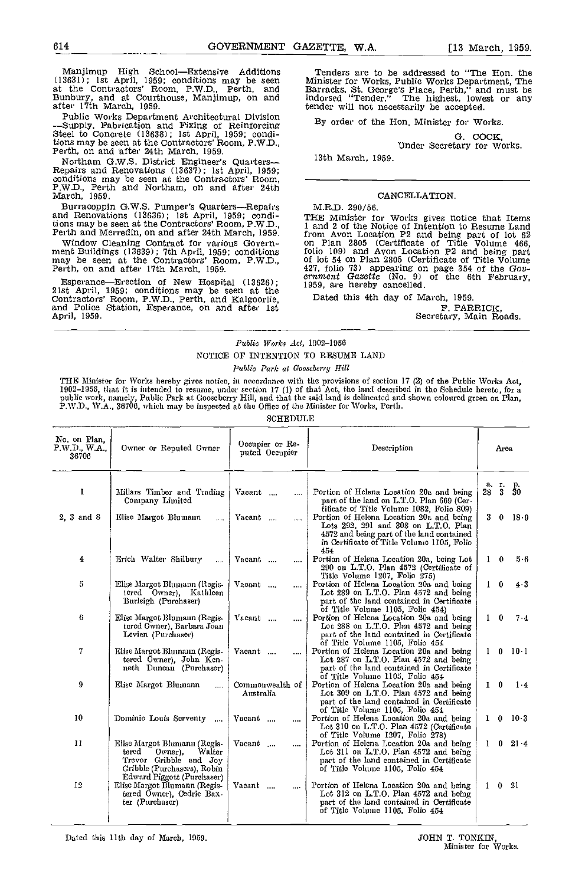Manjimup High School—Extensive Additions Ten<br>
(13631); 1st April, 1959; conditions may be seen Minist<br>
at the Contractors' Room, P.W.D., Perth, and Barra Bunbury, and at Courthouse, Manjimup, on and after 17th March 1959.

Public Works Department Architectural Division<br>-Supply, Fabrication and Fixing of Reinforcing By C<br>Steel to Concrete (13638); 1st April, 1959; conditions may be seen at the Contractors' Room, P.WD., Perth, on and fter 24th March, 1959.

Northam G.W.S. District Engineer's Quarters—Repairs and Renovations (13637); 1st April, 1959; conditions may be seen at the Contractors' Room, P.W.D., Perth and Northam, on and after 24th March, 1959.

Burracoppin G.W.S. Pumper's Quarters—Repairs and Renovations (13636); 1st April, 1959; conditions may be seen at the Contractors' Room, P.W.D. Perth and Merredin, on and after 24th March, 1959.

Window Cleaning Contract for various Govern- ment Buildings (13639); 7th April, 1959; conditions may be seen at the Contractors' Room, P.W.D., Perth, on and after 17th March 1959.

Esperance—Erection of New Hospital (13626); 21st April, 1959; conditions may be seen at the Contractors' Room, P.W.D., Perth, and Kalgoorlie, and Police Station, Esperance, on and after 1st April, 1959.

Tenders are to be addressed to "The Hon. the Minister for Works, Public Works Department, The Barracks, St. George's Place, Perth," and must be Barracks, St. George's Place, Perth," and must be indorsed "Tender." The highest, lowest or any tender will not necessarily be accepted.

By order of the Hon. Minister for Works.

G. COCK,<br>Under Secretary for Works.

13th March, 1959.

#### CANCELLATION.

M.R.D. 290/56.

THE Minister for Works gives notice that Items<br>1 and 2 of the Notice of Intention to Resume Land from Avon Location P2 and being part of lot  $62$ <br>on Plan 2805 (Certificate of Title Volume 466,<br>folio 109) and Avon Location P2 and being part<br>of lot 54 on Plan 2805 (Certificate of Title Volume<br> $427$ , folio 73) appearing

Dated this 4th day of March, 1959.<br>F. PARRICK,

Secretary, Main Roads.

### Public Works Act, 1902-1956 NOTICE OF INTENTION TO RESUME LAND

Public Park at Gooseberry Hill

THE Ministor for Works hereby gives notice, in accordance with the provisions of section 17 (2) of the Public Works Act, 1902–1956, that it is intended to resume, under section 17 (1) of that Act, the land described in tho Schedulc hereto, for a<br>public work, namely, Public Park at Gooscberry Hill, and that the said land is delineated and sho P.W.D., WA., 36706, which may be inspected at the Office of the Minister for Works, Perth.

| No. on Plan.<br>P.W.D., W.A.,<br>36706 | Owner or Reputed Owner                                                                                                                            | Occupier or Re-<br>puted Occupier | Description                                                                                                                                                                        |              | Area     |                     |
|----------------------------------------|---------------------------------------------------------------------------------------------------------------------------------------------------|-----------------------------------|------------------------------------------------------------------------------------------------------------------------------------------------------------------------------------|--------------|----------|---------------------|
| $\bf{l}$                               | Millars Timber and Trading<br>Company Limited                                                                                                     | Vacant<br>$\ddotsc$               | Portion of Helena Location 20a and being<br>part of the land on L.T.O. Plan 669 (Cer-<br>tificate of Title Volume 1082, Folio 809)                                                 | 28           |          | a. r. p.<br>28 3 30 |
| 2. 3 and 8                             | Elise Margot Bluumann<br>$\mathbf{1}$                                                                                                             | Vacant<br>$\cdots$                | Portion of Helena Location 20a and being<br>Lots 292, 291 and 308 on L.T.O. Plan<br>4572 and being part of the land contained<br>in Certificate of Title Volume 1105, Folio<br>454 | 3.           | $\bf{0}$ | $18-9$              |
| 4                                      | Erich Walter Shilbury<br>$\cdots$                                                                                                                 | Vacant<br>$\cdots$                | Portion of Helena Location 20a, being Lot<br>290 on L.T.O. Plan 4572 (Certificate of<br>Title Volume 1207, Folio 275)                                                              | 1.           | $\bf{0}$ | $5-6$               |
| 5                                      | Elise Margot Blumann (Regis-<br>tered Owner), Kathleen<br>Burleigh (Purchaser)                                                                    | Vacant                            | Portion of Helena Location 20a and being<br>Lot 289 on L.T.O. Plan 4572 and being<br>part of the land contained in Certificate<br>of Title Volume 1105, Folio 454)                 | $\mathbf{1}$ | $\bf{0}$ | $4 - 3$             |
| 6                                      | Elise Margot Blumann (Regis-<br>tered Owner), Barbara Joan<br>Levien (Purchaser)                                                                  | Vacant<br>$\cdots$                | Portion of Helena Location 20a and being<br>Lot 288 on L.T.O. Plan 4572 and being<br>part of the land contained in Certificate<br>of Title Volume 1105, Folio 454                  | $\mathbf{1}$ | $\bf{0}$ | $7 - 4$             |
| 7.                                     | Elise Margot Blumann (Regis-<br>tered Owner), John Ken-<br>neth Duncan (Purchaser)                                                                | Vacant<br>                        | Portion of Helena Location 20a and being<br>Lot 287 on L.T.O. Plan 4572 and being<br>part of the land contained in Certificate<br>of Title Volume 1105, Folio 454                  | $\mathbf{1}$ |          | $0 \t 10 \t 1$      |
| 9                                      | Elisc Margot Blumann<br>.                                                                                                                         | Commonwealth of<br>Australia      | Portion of Helcna Location 20a and being<br>Lot 309 on L.T.O. Plan 4572 and being<br>part of the land contamed in Certificate<br>of Title Volume 1105, Folio 454                   | $\mathbf{I}$ | $\bf{0}$ | $1 - 4$             |
| 10                                     | Dominic Louis Screenty<br>$\cdots$                                                                                                                | Vacant<br>                        | Portion of Helena Location 20a and being<br>Lot 310 on L T O. Plan 4572 (Certificate<br>of Title Volume 1207, Folio 278)                                                           |              |          | $1 \t 0 \t 10.3$    |
| 11                                     | Elise Margot Blumann (Regis-<br>tered<br>Owner).<br>Walter<br>Trevor Gribble and Joy<br>Gribble (Purchascrs), Robin<br>Edward Piggott (Purchaser) | Vacant                            | Portion of Helena Location 20a and being<br>Lot 311 on L.T.O. Plan 4572 and being<br>part of the land contained in Certificate<br>of Title Volume 1105, Folio 454                  |              | 0.       | $21 - 4$            |
| 12                                     | Elisc Margot Blumann (Regis-<br>tered Owner), Cedric Bax-<br>ter (Purchaser)                                                                      | Vacant<br>                        | Portion of Helcna Location 20a and being<br>Lot 312 on L.T.O. Plan 4572 and being<br>part of the land contained in Certificate<br>of Title Volume 1105, Folio 454                  |              | 0        | -21                 |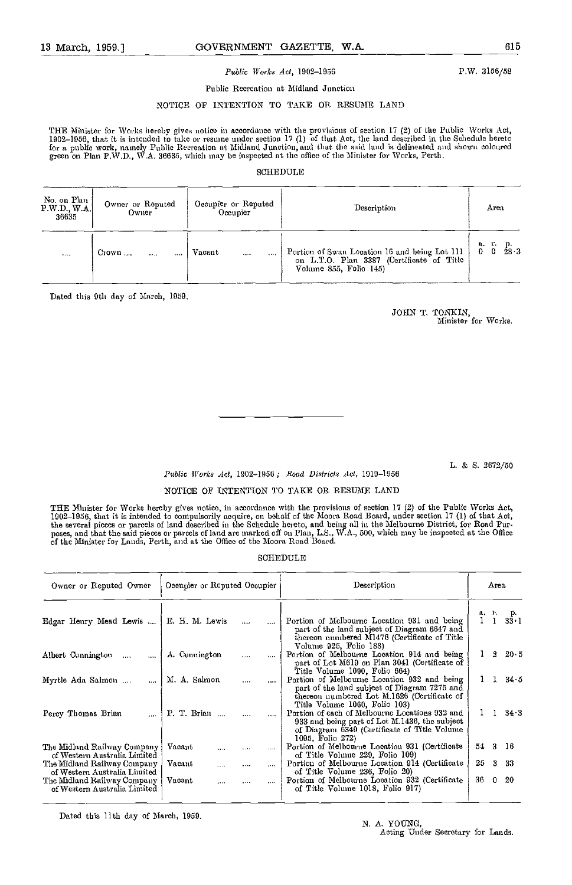#### 13 March, 1959.] GOVERNMENT GAZETTE, W.A. 615

#### Public Works Act, 1902-1956

P.W. 3156/58

### Public Recreation at Midland Junction NOTICE OP INTENTION TO TAKE OR RESUME LAND

TILE Minister for Works hereby gives notice in accordance with the provisions of section 17 (2) of the Public Works Act, 1902–1956, that it is intended to take or resume under section 17 (1) of that Act, the land described in the Schedule hereto<br>for a public work, namely Public Recreation at Midland Junction, and that the said land is deline

#### SCHEDULE

| No. on Plan<br>P.W.D., W.A.<br>36635 | Owner or Reputed<br>Owner | Occupier or Reputed<br>Occupier | Description                                                                                                          | Area                                       |
|--------------------------------------|---------------------------|---------------------------------|----------------------------------------------------------------------------------------------------------------------|--------------------------------------------|
| 1.14                                 | Crown                     | Vacant<br><br>1.1.1             | Portion of Swan Location 16 and being Lot 111<br>on L.T.O. Plan 3387 (Certificate of Title<br>Volume 855, Folio 145) | a. r.<br>$\frac{p}{28\cdot 3}$<br>$\Omega$ |

Dated this 9th day of March, 1959

JOhN T. TONKIN, Minister for Works.

L. & S. 2672/50

#### Public Works Act, 1902-1956; Road Districts Act, 1919-1956

#### NOTICE OF INTENTION TO TAKE OR RESWIE LAND

THE Minister for Works hereby gives notice, in accordance with the provisions of section 17 (2) of the Public Works Act, 1902–1956, that it is intended to compulsorily acquire, on behalf of the Moora Road Board, under section 17 (1) of that Act,<br>the several pieces or parcels of land described in the Schedule hereto, and being all in the Melb poses, and that the said pieces or parcels of land are marked off on Plan, L.S., W.A., 500, which may be inspected at the Office<br>of the Minister for Lands, Perth, and at the Office of the Moora Road Board.

#### SCHEDULE

| Owner or Reputed Owner                                      | Occupier or Reputed Occupier |                    | Description                                                                                                                                                                 | Area                            |
|-------------------------------------------------------------|------------------------------|--------------------|-----------------------------------------------------------------------------------------------------------------------------------------------------------------------------|---------------------------------|
| Edgar Henry Mead Lewis                                      | E. H. M. Lewis               | $\sim$<br>$\cdots$ | Portion of Melbourne Location 931 and being<br>part of the land subject of Diagram 6647 and<br>thereon numbered M1476 (Certificate of Title<br>Volume 925, Folio 188)       | а, г.<br>$\frac{p}{33 \cdot 1}$ |
| Albert Cunnington<br>$\cdots$<br>$\cdots$                   | A. Cunnington                | $\cdots$<br>       | Portion of Melbourne Location 914 and being<br>part of Lot M619 on Plan 3041 (Certificate of<br>Title Volume 1090, Folio 664)                                               | $2\;\;20\;\;5$                  |
| Myrtle Ada Salmon                                           | M. A. Salmon                 | $\cdots$<br>       | Portion of Melbourne Location 932 and being<br>part of the land subject of Diagram 7275 and<br>thereon numbered Lot M.1626 (Certificate of<br>Title Volume 1060, Folio 103) | 34.5<br>$1\quad 1$              |
| Percy Thomas Brian                                          | $P. T. Brian$                | $\cdots$           | Portion of each of Melbourne Locations 932 and<br>933 and being part of Lot M.1436, the subject<br>of Diagram 6349 (Certificate of Title Volume)<br>1095, Folio 272)        | 34.3                            |
| The Midland Railway Company<br>of Western Australia Limited | Vacant<br>                   | <br>               | Portion of Melbourne Location 931 (Certificate)<br>of Title Volume 229, Folio 109)                                                                                          | 54 3 16                         |
| The Midland Railway Company<br>of Western Australia Limited | Vacaut<br>$\cdots$           | $\cdots$           | Portion of Melbourne Location 914 (Certificate<br>of Title Volume 236, Folio 20)                                                                                            | 25.<br>3<br>-33                 |
| The Midland Railway Company<br>of Western Australia Limited | Vacant                       | .                  | Portion of Melbourne Location 932 (Certificate<br>of Title Volume 1018, Folio 917)                                                                                          | 36<br>20<br>$\Omega$            |

Dated this 11th day of March, 1959.

Acting Under Secretary for Lands.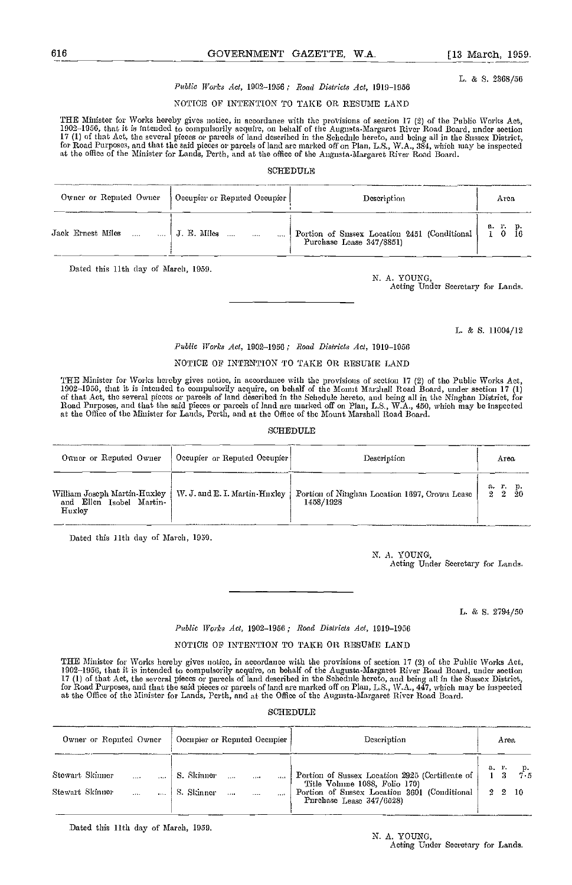L. & 5. 2868/56

#### Public Works Act, 1002-1956; Road Districts Act, 1919-1956

#### NOTICE OF INTENTION TO TAKE OR RESUME LAND

THE Minister for Works hereby gives notice, in accordance with the provisions of section 17 (2) of the Public Works Act,<br>1902–1956, that it is intended to compnlsorily acquire, on behalf of the Augnsta-Margaret River Road 17 (1) of that Act, the several picces or parcels of land described in the Schednle hereto, and being all in the Sussex District,<br>for Road Purposes, and that the said picces or parcels of land are marked off on Plan, L.S.,

#### SCHEDULE

| Owner or Reputed Owner   Occupier or Reputed Occupier |             |          | Description                                                           | Area                                                         |
|-------------------------------------------------------|-------------|----------|-----------------------------------------------------------------------|--------------------------------------------------------------|
| Jack Ernest Miles                                     | J. E. Miles | $\cdots$ | Portion of Sussex Location 2451 (Conditional Purchase Lease 347/8851) | $\begin{array}{cccc} a. & r. & p. \\ 1 & 0 & 16 \end{array}$ |

Dated this 11th day of March, 1959.

Acting Under Secretary for Lands.

L. & 5. 11004/12

#### Public Works Act, 1902-1050; Read Districts Act, 1919-1056

#### NOTIcE OP INTENTION TO TAKE OR RESUME LAND

THE Minister for Works hereby gives notice, in accordance with the provisions of section 17 (2) of the Public Works Act,<br>1902–1956, that it is intended to compulsorily acquire, on behalf of the Momt Marshall Road Board, un at the Office of the Minister for Lauds, Perth, and at the Office of the Mount Marshall Road Board.

#### **SCHEDULE**

| Owner or Reputed Owner                                             | Occupier or Reputed Occupier          | Description                                                | Area                             |
|--------------------------------------------------------------------|---------------------------------------|------------------------------------------------------------|----------------------------------|
| William Joseph Martin-Huxley<br>and Ellen Isobel Martin-<br>Huxley | $\parallel$ W J and E I Martin Huxley | Portion of Ninghan Location 1697, Crown Lease<br>1458/1928 | а.<br>$\frac{\text{p}}{20}$<br>2 |

Dated this 11th day of March, 1959.

N. A. YOUNG, Acting Under Secretary for Lands.

L. & 5. 2794/50

#### Public Works Act, 1902-1956 ; Road Districts Act, 1919-1956

### NOTICE OF INTENTION TO TAKE OR RESUME LAND

THE Minister for Works hereby gives notice, in accordance with the provisions of section 17 (2) of the Public Works Act,<br>1902–1956, that it is intended to compulsorily acquire, on behalf of the Augusta-Margaret River Road 17 (1) of that Act, the several pieces or parcels of land described ía the Schedule hereto, and being all in the Sussex District, for Road Purposes, and that the said pieces or parcels of land are marked off on Plan, L.S., WA., 447, which may be inspected at the Office of the Minister for Lands, Perth, end at the Office of the Augusta.Margaret River Road Board.

#### SCHEDULE

| Owner or Reputed Owner             | [ Occupier or Reputed Occupier ]              | Description                                                                                                                                                  | Area                                     |
|------------------------------------|-----------------------------------------------|--------------------------------------------------------------------------------------------------------------------------------------------------------------|------------------------------------------|
| Stewart Skinner<br>Stewart Skinner | S. Skinner<br>1.1.1<br>S. Skinner<br>$\cdots$ | Portion of Sussex Location 2925 (Certificate of<br>Title Volume 1088, Folio 170)<br>Portion of Sussex Location 3601 (Conditional<br>Purchase Lease 347/6528) | a. $\frac{1}{1}$ 3<br>$2\quad 2\quad 10$ |

Dated this 11th day of March, 1959.

N. A. YOUNG, Acting Under Secretary for Lands.

N. A. YOUNG,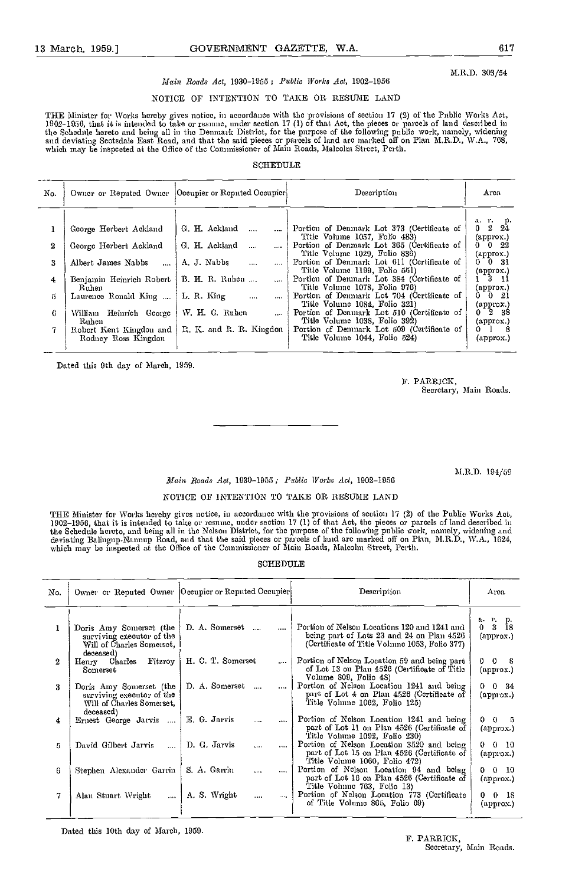M.R.D. 303/54

## Main Roads Act, 1930-1955; Public Works Act, 1902-1956

## NOTICE OF INTENTION TO TAKE OR RESUME LAND

THE Minister for Works hereby gives notice, in accordance with the provisions of section 17 (2) of the Public Works Act,<br>1902–1956, that it is intended to take or resume, under section 17 (1) of that Act, the pieces or par the Schedule hereto and being all in the Denmark District, for the purpose of the following public work, namely, widening<br>and deviating Scotsdale East Road, and that the said pieces or parcels of land arc marked off on Pla which may be inspected at the Office of the Commissioner of Main Roads, Malcolm Street, Perth.

#### SCHEDULE

| No. |                                                    | Owner or Reputed Owner   Occupier or Reputed Occupier | Description                                                                                                                                                | Area                                                        |
|-----|----------------------------------------------------|-------------------------------------------------------|------------------------------------------------------------------------------------------------------------------------------------------------------------|-------------------------------------------------------------|
| 2   | George Herbert Ackland<br>George Herbert Ackland   | G. H. Ackland<br>$\sim$<br>$\cdots$<br>G. H. Ackland  | Portion of Denmark Lot 373 (Certificate of<br>Title Volume 1057, Folio 483)<br>Portion of Denmark Lot 365 (Certificate of<br>Title Volume 1029, Folio 836) | a. r. p.<br>$0 \t2 \t24$<br>(approx.)<br>$0\quad 0\quad 22$ |
| 3   | Albert James Nabbs                                 | A. J. Nabbs<br>$\cdots$<br>$\cdots$                   | Portion of Demnark Lot 611 (Certificate of<br>Title Volume 1199, Folio 551)                                                                                | ${\rm (approx.)}$<br>$0\quad 0\quad 31$<br>(approx.)        |
| 4   | Benjamin Heimrich Robert   B. H. R. Ruhen<br>Ruhen | $\cdots$                                              | Portion of Denmark Lot 384 (Certificate of<br>Title Volume 1078, Folio 976)                                                                                | $1^{\circ}3^{\circ}11$<br>(approx.)                         |
| 5   | Laurence Ronald King                               | L. R. King<br>$\cdots$<br>$\sim 10$                   | Portion of Denmark Lot 704 (Certificate of<br>Title Volume 1084, Folio 321)                                                                                | $0 \t 0 \t 21$<br>$\left($ approx. $\right)$                |
| €   | William Heinrich George<br>Ruhen                   | W. H. G. Ruhen<br>$\cdots$                            | Portion of Denmark Lot 510 (Certificate of<br>Title Volume 1038, Folio 392)                                                                                | $0 \t2 \t38$<br>${\rm (approx.)}$                           |
| 7.  | Rodney Ross Kingdon                                | Robert Kent Kingdon and   R. K. and R. R. Kingdon     | Portion of Demnark Lot 509 (Certificate of<br>Title Volume 1044, Folio 524)                                                                                | $0 \quad 1 \quad 8$<br>(approx.)                            |

Dated this 9th day of March, 1959.

P. PARRICK, Secretary, Main Roads.

M.R.D. 194/59

# Main Roads Act, 1930-1955; Public Works Act, 1902-1956

### NOTICE OF INTENTION TO TAKE OR RESUME LAND

THE Minister for Works hereby gives notice, in accordance with the provisions of section 17 (2) of the Public Works Act,<br>1902–1956, that it is intended to take or resume, under section 17 (1) of that Act, the pieces or par the Schedule hercto, and being all in the Nelson District, for the purpose of the following public work, namely, widening and<br>deviating Balingup-Namup Road, and that the said pieces or parcels of land arc marked off on Pla

#### SCHEDULE

| No. |                                                                                                | Owner or Reputed Owner  Occupier or Reputed Occupier | Description                                                                                                                                  | Area                                          |
|-----|------------------------------------------------------------------------------------------------|------------------------------------------------------|----------------------------------------------------------------------------------------------------------------------------------------------|-----------------------------------------------|
| L   | Doris Amy Somerset (the<br>surviving executor of the<br>Will of Charles Somersct,<br>deceased) | D. A. Somerset<br>$\cdots$                           | Portion of Nelson Locations 120 and 1241 and<br>being part of Lots 23 and 24 on Plan $4526$<br>(Certificate of Title Volume 1053, Folio 377) | а. г. р.<br>0 <sup>3</sup><br>18<br>(approx.) |
| 2   | Fitzroy<br>Henry Charles<br>Someset                                                            | H. C. T. Somerset<br>$\mathbf{r}$                    | Portion of Nelson Location 59 and being part<br>of Lot 13 on Plan 4526 (Certificate of Title<br>Volume 809, Folio 48)                        | $0\quad 0$<br>- 8<br>(approx.)                |
| 3   | Doris Amy Somerset (the<br>surviving executor of the<br>Will of Charles Somerset,<br>deceased) | D. A. Somerset<br>$\cdots$<br>$\cdots$               | Portion of Nelson Location 1241 and being<br>part of Lot 4 on Plan 4526 (Certificate of<br>Title Volume 1062, Folio 125)                     | $0 \t 0 \t 34$<br>(approx.)                   |
| 4   | Ernest George Jarvis<br>$\cdots$                                                               | E G. Jarvis<br><br>$\cdots$                          | Portion of Nelson Location 1241 and being<br>part of Lot II on Plan 4526 (Certificate of<br>Title Volume 1092, Folio 230)                    | $0 \t 0 \t 5$<br>(approx.)                    |
| 5.  | David Gilbert Jarvis<br>$\ddotsc$                                                              | D. G. Jarvis<br>$\ddotsc$<br>$\cdots$                | Portion of Nelson Location 3520 and being<br>part of Lot 15 on Plan 4526 (Certificate of<br>Title Volume 1060, Folio 472)                    | $0 \t 0 \t 10$<br>(approx.)                   |
| 6   | Stephen Alexander Garrin                                                                       | S. A. Garrin<br>$\cdots$<br>$\cdots$                 | Portion of Nelson Location 94 and being<br>part of Lot 16 on Plan 4526 (Certificate of<br>Title Volume 763, Folio 13)                        | $0 \t0 \t10$<br>(approx.)                     |
| 7   | Alan Stmart Wright<br>$\cdots$                                                                 | A. S. Wright<br>$\cdots$<br>$\cdots$                 | Portion of Nelson Location 773 (Certificate<br>of Title Volume 865, Folio 69)                                                                | 00 IS<br>(approx.)                            |

Dated this 10th day of March, 1959. The Second Second Second Second Second Second Second Second Second Second Second Second Second Second Second Second Second Second Second Second Second Second Second Second Second Second

# Secretary, Main Roads.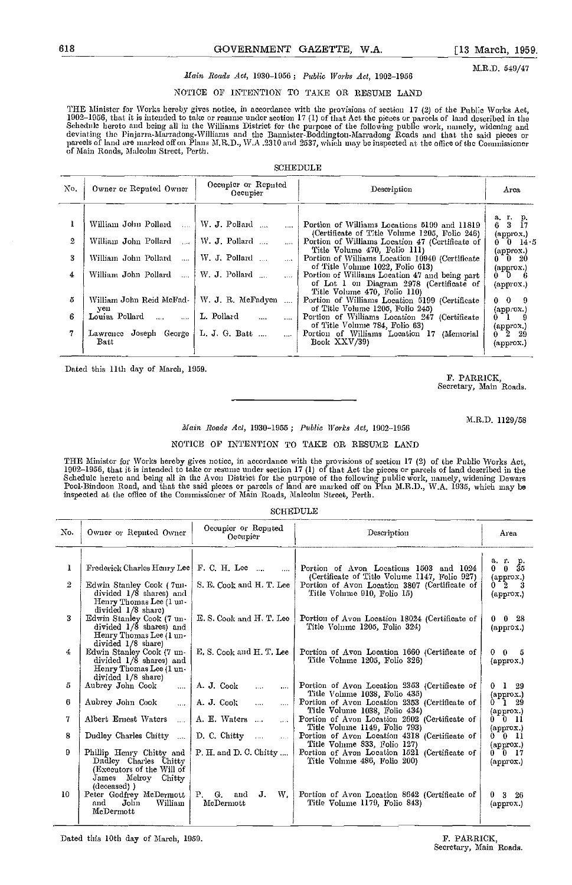M.R.D. 549/47

## Main Roads Act, 1930-1956; Public Works Act, 1902-1956

NOTICE OF INTENTION TO TAKE OR RESUME LAND

THE Minister for Works hereby gives notice, in accordance with the provisions of section 17 (2) of the Public Works Act,<br>1902–1956, that it is intended to take or resume under section 17 (1) of that Act the pieces or parce deviating the Pinjarra-Marradong-Williams and the Bannister-Boddington.Marradong Roads and that the said pieces or parcels of land are marked off on Plans M.R.D., W.A .2310 and 2537, which may be inspected at the office of the Commissioner<br>of Main Roads, Malcolm Street, Perth.

#### SCHEDULE

| No. | Owner or Reputed Owner                 | Occupic or Reputed<br>Occupier     | Description                                                                                                                | Arca                                                                             |
|-----|----------------------------------------|------------------------------------|----------------------------------------------------------------------------------------------------------------------------|----------------------------------------------------------------------------------|
|     | William John Pollard<br>$\mathbf{A}$   | W. J. Pollard                      | Portion of Williams Locations 5199 and 11819<br>(Certificate of Title Volume 1205, Folio 246)                              | a. r. p.<br>3<br>6.<br>-17<br>(approx.)                                          |
| 2   | William John Pollard<br>$\sim$         | W. J. Pollard                      | Portion of Williams Location 47 (Certificate of<br>Title Volume 470, Folio 111)                                            | $0$ $0$ $14.5$<br>(approx.)                                                      |
| 3   | William John Pollard<br>$\mathbf{1}$   | W. J. Pollard<br>$\cdots$          | Portion of Williams Location 10940 (Certificate<br>of Title Volume 1022, Folio 613)                                        | $0\degree 0\degree 20$                                                           |
| 4   | William John Pollard<br>$\sim 100$     | W. J. Pollard                      | Portion of Williams Location 47 and being part<br>of Lot 1 on Diagram 2978 (Certificate of<br>Title Volume 470, Folio 110) | $\begin{smallmatrix} {\rm (approx.)} \ 0 & 0 & 6 \end{smallmatrix}$<br>(approx.) |
| 5   | William John Reid McFad-<br>yen        | W. J. R. McFadyen<br>$\cdots$      | Portion of Williams Location 5199 (Certificate<br>of Title Volume 1205, Folio 245)                                         | $0 \t 0 \t 9$<br>$\langle$ approx. $\rangle$                                     |
| 6   | Louisa Pollard<br>$\sim 100$<br>$\sim$ | L. Pollard<br>$\cdots$<br>$\cdots$ | Portion of Williams Location 247 (Certificate<br>of Title Volume 784, Folio 63)                                            | $0\quad 1$                                                                       |
| 7   | Lawrence Joseph George<br><b>Batt</b>  | L. J. G. Batt<br><b>Section</b>    | Portion of Williams Location 17 (Memorial<br>Book XXV/39)                                                                  | (approx.)<br>$0 - 2 - 29$<br>${\rm (approx.)}$                                   |

Dated this 11th day of March, 1059.

#### P. PARRICK, Secretary, Main Roads.

M.R.D. 1129/58

#### Main Roads Act, 1930-1955; Public Works Act, 1902-1956

### NOTICE OF INTENTION TO TAKE OR RESUME LAND

THE Minister for Works hereby gives notice, in accordance with the provisions of section 17 (2) of the Public Works Act,<br>1902–1956, that it is intended to take or resume under section 17 (1) of that Act the pieces or parce Schedulc hereto and being all in the Avon District for the purpose of the following public work, namely, widening Dewars<br>Pool-Bindoon Road, and that the said pieces or parcels of land are marked off on Plan M.R.D., W.A. 19

#### SCHEDULE

| No. | Owner or Reputed Owner                                                                                               | Occupier or Reputed<br>Occupier                 | Description                                                                              | Area                                        |
|-----|----------------------------------------------------------------------------------------------------------------------|-------------------------------------------------|------------------------------------------------------------------------------------------|---------------------------------------------|
| ı   | Frederick Charles Henry Lec   F. C. H. Lec                                                                           |                                                 | Portion of Avon Locations 1503 and 1024<br>(Certificate of Title Volume 1147, Folio 927) | a 1 p.<br>$\bf{0}$<br>35<br>0.<br>(approx.) |
| 2   | Edwin Stanley Cook (7un-<br>divided 1/8 shares) and<br>Henry Thomas Lee (1 un-<br>divided 1/8 share)                 | S. E. Cook and H. T. Lee                        | Portion of Avon Location 3807 (Certificate of<br>Title Volume 910, Folio 15)             | $0-2$ 3<br>(approx.)                        |
| 3   | Edwin Stanley Cook (7 un-<br>divided 1/8 shares) and<br>Henry Thomas Lee (1 un-<br>divided 1/8 share)                | E.S. Cook and H.T. Lee                          | Portion of Avon Location 18024 (Certificate of<br>Title Volume 1205, Folio 324)          | $\bf{0}$<br>-28<br>0.<br>(approx.)          |
| 4   | Edwin Stanley Cook (7 un-<br>divided 1/8 shares) and<br>Henry Thomas Lee (1 un-<br>divided 1/8 share)                | E. S. Cook and H. T. Lee                        | Portion of Avon Location 1660 (Certificate of<br>Title Volume 1205, Folio 326)           | 0 <sub>5</sub><br>0.<br>${\rm (approx.)}$   |
| 5   | Aubrey John Cook<br>$\cdots$                                                                                         | A. J. Cook<br>$\cdots$<br>$\cdots$              | Portion of Avon Location 2353 (Certificate of<br>Title Volume 1038, Folio 435)           | $0 \quad 1 \quad 29$<br>$(\text{approx.})$  |
| 6   | Aubrey John Cook<br>$\cdots$                                                                                         | A. J. Cook<br>$\cdots$<br>                      | Portion of Avon Location 2353 (Certificate of<br>Title Volume 1038, Folio 434)           | $0 - 1$ 29<br>(approx.)                     |
| 7   | Albert Ernest Waters<br>$\cdots$                                                                                     | A. E. Waters<br>$\cdots$                        | Portion of Avon Location 2602 (Certificate of<br>Title Volume 1149, Folio 793)           | $0-1$ 0 11<br>(approx.)                     |
| 8   | Dudley Charles Chitty                                                                                                | $D$ , C, Chitty<br>$\sim 100$                   | Portion of Avon Location 4318 (Certificate of<br>Title Volume 833, Folio 127)            | $0-1$ 0 11<br>(approx.)                     |
| 9   | Phillip Henry Chitty and<br>Dudley Charles Chitty<br>(Executors of the Will of<br>James Melroy Chitty<br>(deceased)) | $P$ . H. and D. C. Chitty                       | Portion of Avon Location 1521 (Certificate of<br>Title Volume 486, Folio 200)            | $0-17$<br>$(\text{approx.})$                |
| 10  | Peter Godfrey McDermott<br>Jolin<br>William<br>and<br>McDermott                                                      | <b>P.</b><br>G.<br>J.<br>W.<br>and<br>McDermott | Portion of Avon Location 8642 (Certificate of<br>Title Volume 1179, Folio 843)           | $3\quad26$<br>0.<br>$(\text{approx.})$      |

Dated this 10th day of March, 1959. F. PARRICK,

Secretary, Main Roads.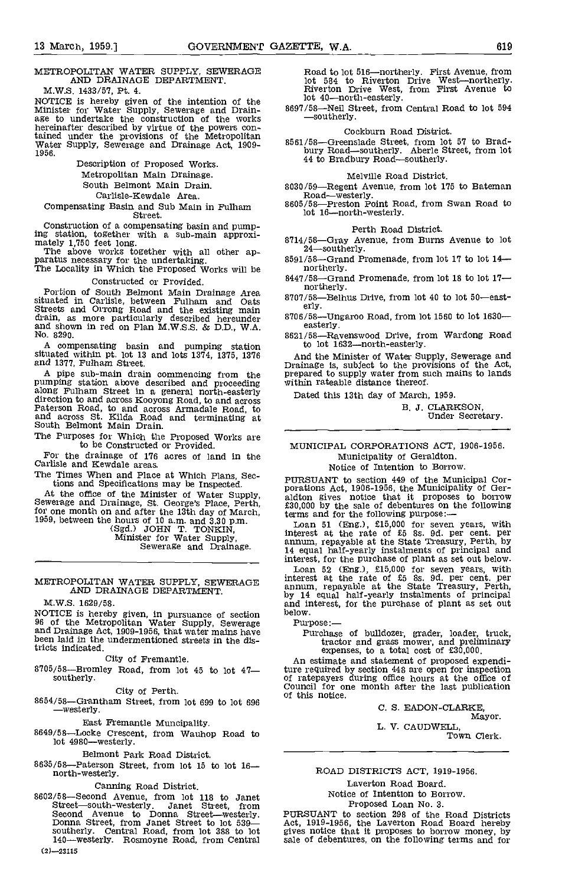# METROPOLITAN WATER SUPPLY, SEWERAGE AND DRAINAGE DEPARTMENT.

M.W.S. 1433/57, Pt. 4.

NOTICE is hereby given of the intention of the Minister for Water Supply, Sewerage and Drain-<br>age to undertake the construction of the works hereinafter described by virtue of the powers contained under the provisions of the Metropolitan<br>Water Supply, Sewerage and Drainage Act, 1909-<br>1956. bu

> Description of Proposed Works. Metropolitan Main Drainage.

South Belmont Main Drain.

Carlisle-Kewdale Area.

Compensating Basin and Sub Main in Futham Street.

Construction of a compensating basin and pump-Figure station, together with a sub-main approxi-<br>
ing station, together with a sub-main approxi-<br>
The above works together with all other ap-<br>
paratus necessary for the undertaking.  $8591/58$ —Grand Promenade, from lot 17

Constructed or Provided.

Portion of South Belmont Main Drainage Area<br>situated in Carlisle, between Fulham and Oats 8707/58<br>Streets and Orrong Road and the existing main drain, as more particularly described hereunder and shown in red on Plan M.W.S.S. & D.D., W.A. No. 8290.

A compensating basin and pumping station to<br>situated within pt. lot 13 and lots 1374, 1375, 1376 And and 1377, Fulham Street.

A pipe sub-main drain commencing from the pumping station above described and proceeding along Fulham Street in a general north-easterly bate direction to and across Kooyong Road, to and across<br>Paterson Road, to and across Armadale Road, to<br>and across St. Kilda Road and terminating at<br>South Belmont Main Drain.

The Purposes for Which the Proposed Works are to be Constructed or Provided.

For the drainage of 176 acres of land in the Carlisle and Kewdale areas.

The Times When and Place at Which Plans, Sections and Specifications may be Inspected.<br>At the office of the Minister of Water Supply,

At the office of the Minister of Water Supply,<br>Sewerage and Drainage, St. George's Place, Perth,<br>for one month on and after the 13th day of March,<br>1959, between the hours of 10 a.m. and 3.30 p.m.<br>(Sgd.) JOHN T. TONKIN,<br>Min

#### METROPOLITAN WATER SUPPLY, SEWERAGE AND DRAINAGE DEPARTMENT.

IVI.W.5. 1629/58.

NOTICE is hereby given, in pursuance of section below.<br>96 of the Metropolitan Water Supply, Sewerage Purp and Drainage Act, 1909-1956, that water mains have been laid in the undermentioned streets in the disbeen laid in the undermentioned streets in the districts indicated.

City of Fremantle.<br>8705/58—Bromley Road, from lot 45 to lot 47– southerly.

City of Perth.

 $8654/58$ –Grantham Street, from lot 699 to lot 696<br>
—westerly.

East Fremantle Muncipality.

8649/58-Locke Crescent, from Wauhop Road to  $lot$  4980-westerly.

Belmont Park Road District.

8635/58-Paterson Street, from lot 15 to lot  $16$ north-westerly.

Canning Road District.<br>
8602/58—Second Avenue, from lot 118 to Janet<br>
Street—south-westerly. Janet Street, from Second Avenue to Donna Street—westerly. PURSU<br>Donna Street, from Janet Street to lot 539— Act, 19 southerly. Central Road, from lot 388 to lot 5<br>140—westerly. Rosmoyne Road, from Central 58  $(2) - 23115$ 

Road to lot 516—northerly. First Avenue, from<br>lot 584 to Riverton Drive West—northerly.<br>Riverton Drive West, from First Avenue to

lot 40—north-easterly.<br>8697/58—Neil Street, from Central Road to lot 594<br>Southerly.

Cockburn Road District.

8561/58—Greenslade Street, from lot 57 to Brad-<br>bury Road—southerly. Aberle Street, from lot<br>44 to Bradbury Road—southerly.

Melville Road District.<br>8030/59—Regent Avenue, from lot 175 to Bateman Road—westerly.<br>8605/58—Preston Point Road, from Swan Road to

lot 16-north-westerly.

#### Perth Road District.

8714/58-Gray Avenue, from Burns Avenue to lot

- 
- 8447/58-Grand Promenade, from lot 18 to lot  $17$ nor therly.

8707/58-Belhus Drive, from lot 40 to lot 50-easterly.

 $8706/58$ -Ungaroo Road, from lot 1560 to lot 1630--<br>easterly.

8621/58-Ravenswood Drive, from Wardong Road to lot 1632-north-easterly.

And the Minister of Water Supply, Sewerage and Drainage is, subject to the provisions of the Act, prepared to supply water from such mains to lands within rateable distance thereof.

Dated this 13th day of March, 1959.

B. J. CLARKSON,<br>Under Secretary.

#### MUNICIPAL CORPORATIONS ACT, 1906-1956. Municipality of Geraldton. Notice of Intention to Borrow.

PURSUANT to section 449 of the Municipal Cor- porations Act, 1906-1956, the Municipality of Ger- aldton gives notice that it proposes to borrow £30,000 by the sale of debentures on the following terms and for the following purpose:-

Loan 51 (Eng.), £15,000 for seven years, with interest at the rate of £5 8s. 9d. per cent. per annum, repayable at the State Treasury, Perth, by 14 equal half-yearly instalments of principal and

Lean 52 (Eng.), £15,000 for seven years, with<br>interest at the rate of £5 8s. 9d. per cent. per<br>annum, repayable at the State Treasury, Perth,<br>by 14 equal half-yearly instalments of principal<br>and interest, for the purchase

Purpose:—<br>Purchase of bulldozer, grader, loader, truck,<br>tractor and grass mower, and preliminary expenses, to a total cost of £30,000.

An estimate and statement of proposed expenditure required by section 448 ate open for inspection of ratepayers during office hours at the office of Council for one month after the last publication of this notice.

> C. S. EADON-CLARKE, Mayor.

L. V. CAUDWELL, Town Clerk.

#### ROAD DISTRICTS ACT, 1919-1956.

Laverton Road Board. Notice of Intention to Borrow. Proposed Loan No. 3.

PURSUANT to section 298 of the Road Districts Act, 1919-1956, the Laverton Road Board hereby gives notice that it proposes to borrow money, by sale of debentures, on the following terms and for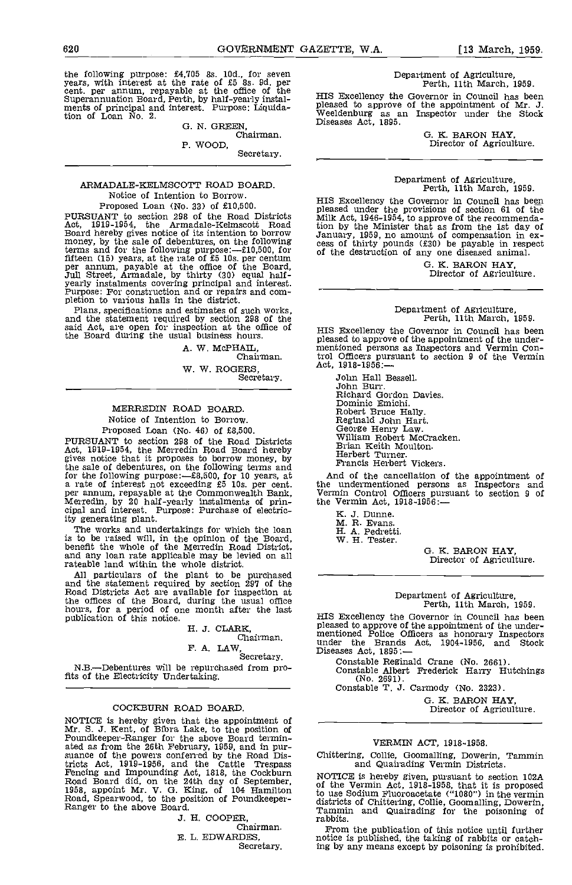the following purpose:  $£4,705$  8s. 10d., for seven<br>years, with interest at the rate of  $£5$  8s. 9d. per<br>cent. per annum, repayable at the office of the<br>Superannuation Board, Perth, by half-yearly instalments of principal and interest. Purpose: Liquidation of Loan No. 2.

G. N. GREEN,<br>Chairman.<br>P. WOOD.

Secretary.

#### ARMADALE-KELMSCOTT ROAD BOARD. Notice of Intention to Borrow, Proposed Loan (No. 33) of £10,500.

PURSUANT to section 290 of the Road Districts Act, 1919-1954, the Armadale-Kelmscott Road Board hereby gives notice of its intention to borrow<br>money, by the sale of debentures, on the following<br>terms and for the following purpose:— $f10,500$ , for<br>fifteen (15) years, at the rate of £5 10s, per centum<br>per annum,

Plans, specifications and estimates of such works, and the statement required by section 298 of the said Act, are open for inspection at the office of  $H_1$ the Board during the usual business hours.

A. W. McPHAIL.

Chairman.

W. W. ROGERS, Secretary.

#### MERREDIN ROAD BOARD, Notice of Intention to Borrow. Proposed Loan (No. 46) of £8,500,

PURSUANT to section 298 of the Road Districts Act, 1919-1954, the Merredin Road Board hereby Bridges notice that it proposes to borrow money, by H the sale of debentures, on the following terms and<br>for the following purpose:— $\pm 8{,}500$ , for 10 years, at a rate of interest not exceeding £5 10s. per cent.<br>per annum, repayable at the Commonwealth Bank,<br>Merredin, by 20 half-yearly instalments of principal and interest. Purpose: Purchase of electricity generating plant.

The works and undertakings for which the loan<br>is to be raised will, in the opinion of the Board, W benefit the whole of the Merredin Road District, and any loan rate applicable may be levied on all rateable land within the whole district.

All particulars of the plant to be purchased and the statement required by section 297 of the<br>Road Districts Act are available for inspection at<br>the offices of the Board, during the usual office<br>hours, for a period of one month after the last<br>publication of this noti

H. J. CLARK, Chairman.

F. A. LAW,

N.B.-Debentures will be repurchased from profits of the Electricity Undertaking,

#### COCKBURN ROAD BOARD.

NOTICE is hereby given that the appointment of —<br>Mr. S. J. Kent, of Bibra Lake, to the position of<br>Poundkeeper-Ranger for the above Board termin-<br>ated as from the 26th February, 1959, and in pur-<br>suance of the powers confe tricts Act, 1919-1956, and the Cattle Trespass<br>Fencing and Impounding Act, 1818, the Cockburn<br>Road Board did, on the 24th day of September, of the<br>1958, appoint Mr. V. G. King, of 104 Hamilton to use Road, Spearwood, to the position of Poundkeeper- Ranger to the above Board.

J. H. COOPER, Chairman.

B. L. EDWARDES,

Secretary.

Department of Agriculture, Perth, 11th March, 1959.

HIS Excellency the Governor in Council has been pleased to approve of the appointment of Mr. J. Weeldenburg as an Inspector under the Stock Diseases Act, 1895.

G. K. BARON HAY, Director of Agriculture.

# Department of Agriculture, Perth, 11th March, 1959.

HIS Excellency the Governor in Council has bep pleased under the provisions of section 61 of the Milk Act, 1946-1954, to approve of the recommendation by the Minister that as from the 1st day of January, 1959, no amount of compensation in ex- cess of thirty pounds (f30) be payable in respect of the destruction of any one diseased animal.

G. K. BARON HAY, Director of Agriculture.

# Department of Agriculture, Perth, 11th March, 1959.

HIS Excellency the Governor in Council has been pleased to approve of the appointment of the under- mentioned persons as Inspectors and Vermin Control Officers pursuant to section 9 of the Vermin Act, 1918-1956:

John Hall Bessell. John Burr. Richard Gordon Davies. Dominic Emichi. Robert Bruce Hally.<br>Reginald John Hart.<br>George Henry Law.<br>William Robert McCracken. Brian Keith Moulton. Herbert Turner. Francis Herbert Vickers.

And of the cancellation of the appointment of<br>the undermentioned persons as Inspectors and<br>Vermin Control Officers pursuant to section 9 of<br>the Vermin Act, 1918-1956:---

K. J. Dunne.

M. R. Evans. H. A. Pedretti.

W. H. Tester.

G. K. BARON HAY, Director of Agriculture.

# Department of Agriculture, Perth, 11th March, 1959.

HIS Excellency the Governor in Council has been pleased to approve of the appointment of the under- mentioned Police Officers as honorary Inspectors under the Brands Act, 1904-1956, and Stock under the Brands Act, 1904-1956, and<br>Diseases Act, 1895:-

Constable Reginald Crane (No. 2661). Constable Albert Frederick Harry Hutchings

Constable T. J. Carmody (No. 2323).

G. K. BARON HAY, Director of Agriculture.

#### VERMIN ACT, 1918-1958.

Chittering, Collie, Goomalling, Dowerin, Tammin and Quairading Vermin Districts.

NOTICE is hereby given, pursuant to section 102A of the Vermin Act, 1918-1958, that it is proposed to use Sodium Fluoroacetate ("1080") in the vermin districts of Chittering, Collie, Goomalling, Dowerin, Tammin and Quairading for the poisoning of Tammin and Quairading for the poisoning of rabbits.

From the publication of this notice until further notice is published, the taking of rabbits or catching by any means except by poisoning is prohibited.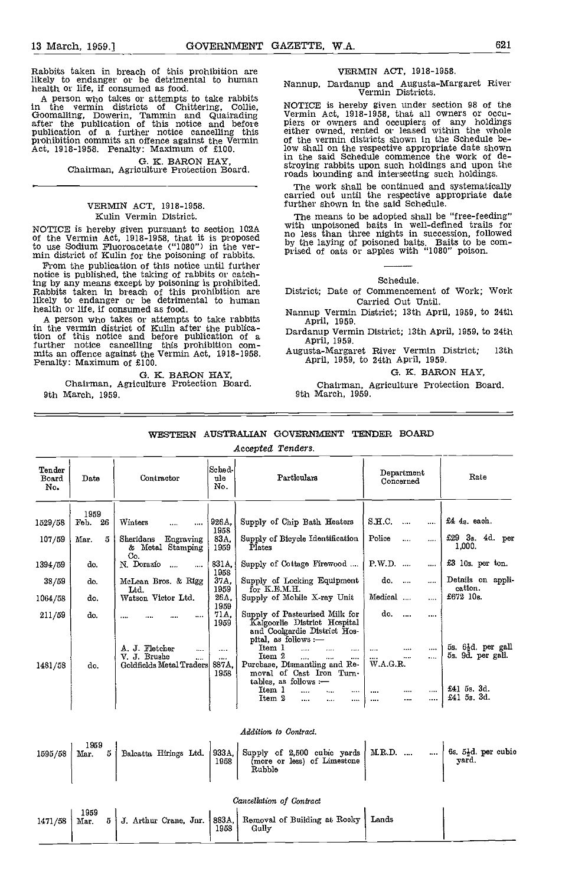Rabbits taken in breach of this prohibition are likely to endanger or be detrimental to human health or life, if consumed as food.

A person who takes or attempts to take rabbits in the vermin districts of Chittering, Collie, Goomalling, Dowerin, Tammin and Quairading after the publication of this notice and before piers<br>publication of a further notice cancelling this either<br>prohibition commits an offence against the Vermin of the<br>Act, 1918-1958. Penalty: Maximum of £100. low si

G. K. BARON HAY,<br>Chairman, Agriculture Protection Board.

#### VERMIN ACT, 1918-1958. Kuhn Vermin District.

NOTICE is hereby given pursuant to section 102A <sup>With unpo</sup><br>of the Vermin Act, 1918-1958, that it is proposed and the law to use Sodium Fluoroacetate ("1080") in the ver- min district of Kuhn for the poisoning of rabbits.

min district of Kulin for the poisoning of rabbits.<br>From the publication of this notice until further<br>notice is published, the taking of rabbits or catch-<br>ing by any means except by poisoning is prohibited. ing by any means except by poisoning is prohibited. Rabbits taken in breach of this prohibition are likely to endanger or be detrimental to human health or life, if consumed as food.

A person who takes or attempts to take rabbits in the vermin district of Kullin after the publica-<br>tion of this notice and before publication of a  $\overrightarrow{A}$ further notice cancelling this prohibition com-<br>mits an offence against the Vermin Act, 1918-1958. At<br>Penalty: Maximum of £100.

G. K. BARON HAY,<br>Chairman, Agriculture Protection Board. 9th March, 1959.

#### VERMIN ACT, 1918-1958.

Nannup, Dardanup and Augusta-Margaret River Vermin Districts.

NOTICE is hereby given under section 98 of the Vermin Act, 1918-1958, that all owners or occupiers or owners and occupiers of any holdings either owned, rented or leased within the whole of the vermin districts shown in th low shall on the respective appropriate date shown in the said Schedule commence the work of destroying rabbits upon such holdings and upon the roads bounding and intersecting such holdings.

The work shall be continued and systematically carried out until the respective appropriate date further shown in the said Schedule.

The means to be adopted shall be "free-feeding"<br>with unpoisoned baits in well-defined trails for<br>no less than three nights in succession, followed by the laying of poisoned baits. Baits to be comprised of oats or apples with "1080" poison.

#### Schedule.

District; Date of Commencement of Work; Work Carried Out Until.

- Nannup Vermin District; 13th April, 1959, to 24th April, 1959.
- Dardanup Vermin District; 13th April, 1959, to 24th April, 1959.

Augusta-Margaret River Vermin District; 13th April, 1959, to 24th April, 1959.

G. K. BARON HAY,

Chairman, Agriculture Protection Board. 9th March, 1959.

#### WESTERN AUSTRALIAN GOVERNMENT TENDER BOARD

Accepted Tenders.

| Tender<br>Board<br>No. | Date                                     | Contractor                                                                           | Sched-f<br>ule<br>No.                 | Particulars                                                                                                                                                                                                        | Department<br>Concerned                                                   | Rate                                                                              |
|------------------------|------------------------------------------|--------------------------------------------------------------------------------------|---------------------------------------|--------------------------------------------------------------------------------------------------------------------------------------------------------------------------------------------------------------------|---------------------------------------------------------------------------|-----------------------------------------------------------------------------------|
| 1529/58<br>107/59      | 1959<br>-26<br>${\bf Fob.}$<br>Mar.<br>5 | Winters<br>$\cdots$<br>$\cdots$<br>Sheridans<br>Engraving<br>& Metal Stamping<br>Co. | 926A<br>1958<br>83A.<br>1959          | Supply of Chip Bath Heaters<br>Supply of Bicycle Identification<br>Plates                                                                                                                                          | S.H.C.<br>$\cdots$<br><br>Police<br>$\cdots$<br>                          | $£44s$ , each.<br>$£29$ 3s. 4d. per<br>1,000.                                     |
| 1394/59                | do.                                      | N. Dorazio<br>$\ddotsc$<br>$\cdots$                                                  | 831A.                                 | Supply of Cottage Firewood                                                                                                                                                                                         | $P.W.D.$<br>$\cdots$                                                      | £3 10s. per ton.                                                                  |
| 38/59                  | do.                                      | McLean Bros. & Rigg<br>Ltd.                                                          | 1958<br>37A.<br>1959                  | Supply of Locking Equipment<br>for $K.E.M.H.$                                                                                                                                                                      | do.<br>$\cdots$<br>                                                       | Details on appli-<br>cation.                                                      |
| 1064/58                | do.                                      | Watson Victor Ltd.                                                                   | 26A.<br>1959                          | Supply of Mobile X-ray Unit                                                                                                                                                                                        | Medical<br>$\cdots$                                                       | £672 $10s$ .                                                                      |
| 211/59                 | do.                                      | $\cdots$<br><br>                                                                     | 71A.<br>1959                          | Supply of Pasteurised Milk for<br>Kalgoorlie District Hospital<br>and Coolgardie District Hos-<br>pital, as follows -                                                                                              | do.<br>$\sim$<br>                                                         |                                                                                   |
| 1481/58                | do.                                      | A. J. Fletcher<br>$\cdots$<br>V. J. Brushe<br><br>Goldfields Metal Traders           | $\cdots$<br>$\cdots$<br>887A.<br>1958 | Item 1<br>$\cdots$<br>$\cdots$<br>$\cdots$<br>Item 2<br>$\cdots$<br><br><br>Purchase, Dismantling and Re-<br>moval of Cast Iron Turn-<br>tables, as follows :-<br>Item 1<br>$\cdots$<br><br><br>Item 2<br><br><br> | <br>.<br>$\cdots$<br><br>$\cdots$<br><br>W.A.G.R.<br><br><br><br><br><br> | 5s. 6 <sup>1</sup> d. per gall<br>5s. 9d. per gall.<br>£41 5s. 3d.<br>£41 5s. 3d. |

|  |  |  | Addition to Contract. |  |  |  |  |                                                                                                                                                                                           |  |
|--|--|--|-----------------------|--|--|--|--|-------------------------------------------------------------------------------------------------------------------------------------------------------------------------------------------|--|
|  |  |  | Rubble                |  |  |  |  | 1595/58 Mar. 5 Balcatta Hirings Ltd. 933A, Supply of 2,500 cubic yards M.R.D.   6s. 5 <sup>1</sup> d. per cubic 1958 (more or less) of Limestone M.R.D.   6s. 5 <sup>1</sup> d. per cubic |  |

Cancellation of Contract 1959<br>Mar. 5 1471/58 Mar.  $5 \mid J$ . Arthur Crane, Jnr. 883A 1958 Gully Removal of Building at Rocky Lands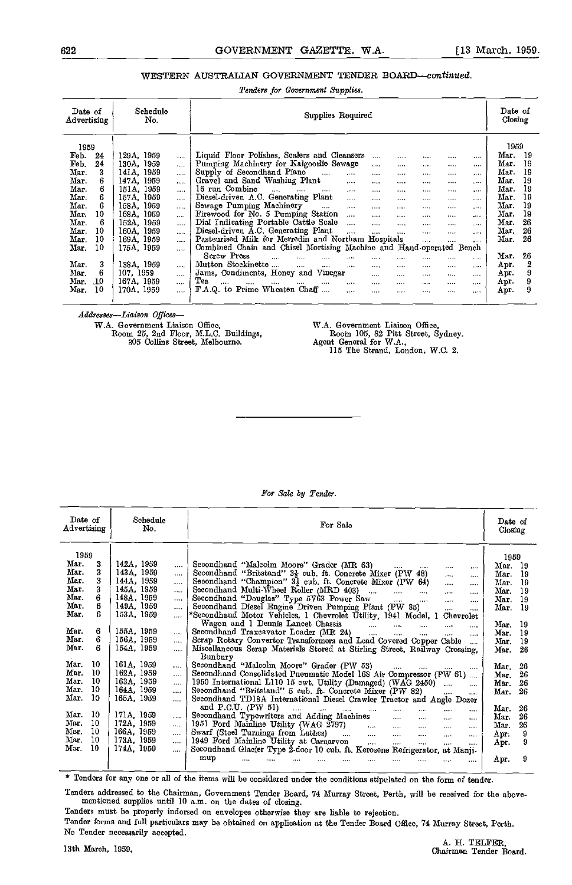### 622 GOVERNMENT GAZETTE, W.A. [13 March, 1959.

### WESTERN AUSTRALIAN GOVERNMENT TENDER BOARD-continued.

Tenders for Government Suppiies.

| 129A 1959<br>$\cdots$<br>130A, 1959<br>$\cdots$ | 1959<br>Liquid Floor Polishes, Scalers and Cleansers<br>Mar.<br>19                                        |
|-------------------------------------------------|-----------------------------------------------------------------------------------------------------------|
|                                                 |                                                                                                           |
|                                                 | $\cdots$<br><br><br><br>                                                                                  |
|                                                 | Mar.<br>Pumping Machinery for Kalgoorlie Sewage<br>19<br><br><br><br><br>                                 |
| 141A, 1959<br>$\cdots$                          | Supply of Secondhand Piano<br>Mar.<br>19<br>$\cdots$<br>$\cdots$<br><br><br><br><br>                      |
| 147A, 1959<br>$\cdots$                          | Mar.<br>Gravel and Sand Washing Plant<br>19<br>$\cdots$<br><br>$\cdots$<br><br><br>                       |
| 151A. 1959<br>$\cdots$                          | 16 run Combine<br>Mar.<br>19<br>$\cdots$<br>$\cdots$<br>$\cdots$<br>$\cdots$<br><br><br><br><br>          |
| 157A. 1959<br>                                  | Diesel-driven A.C. Generating Plant<br>Mar.<br>19<br>$\cdots$<br><br><br><br><br>                         |
| 158A, 1959<br>$\cdots$                          | Sewage Pumping Machinery<br>Mar.<br>19<br>$\cdots$<br>$\cdots$<br><br><br><br><br>$-1$                    |
| 168A, 1959<br>$\cdots$                          | Firewood for No. 5 Pumping Station<br>Mar.<br>19<br>$\cdots$<br><br><br><br><br>$-0.11$                   |
| 152A, 1959<br>$\cdots$                          | Dial Indicating Portable Cattle Scale<br>Mar.<br>26<br>$\overline{a}$<br><br>$\cdots$<br><br><br>$\cdots$ |
| 160A, 1959<br>$\cdots$                          | Diesel-driven A.C. Generating Plant<br>Mar.<br>26<br>$\cdots$<br><br><br><br>$\cdots$<br>$- - +$          |
| 169A 1959<br>$\cdots$                           | Pasteurised Milk for Merredin and Northam Hospitals<br>Mar.<br>26<br>$\cdots$<br><br>$\cdots$             |
| 175A 1959<br>$\cdots$                           | Combined Chain and Chisel Mortising Machine and Hand-operated Bench                                       |
|                                                 | Screw Press<br>26<br>Mar.<br>$\cdots$<br><br><br><br><br><br><br>                                         |
| 138A, 1959<br>$\cdots$                          | Mutton Stockinette<br>2<br>Apr.<br>$\cdots$<br><br>$\cdots$<br>$\cdots$<br><br><br><br>                   |
|                                                 | Jams, Condiments, Honey and<br>9<br>Vinegar<br>Apr.<br><br><br><br><br>$\cdots$                           |
|                                                 | Tea<br>9<br>Apr.<br>$\cdots$<br>$\cdots$<br><br><br><br><br><br><br><br><br>$\cdots$                      |
| 167A, 1959<br>                                  | F.A.Q. to Prime Wheaten Chaff<br>9<br>Apr.<br><br><br><br><br><br>$\cdots$                                |
|                                                 | 107.1959<br><br>170A, 1959<br>                                                                            |

Addresses-Liaison Offices-

W.A. Government Liaison Office, Room 25, 2nd Floor, M.L.C. Buildings, 305 Collins Street, Melbourne.

WA. Government Liaison Office, Rooth 105, 82 Pitt Street, Sydney. Agent General for W.A., 115 The Strand, London, W.C. 2.

| Schedule<br>No.        | Date of<br>Closing                                                                                                                                                                                                                                                                                |                                                                                                                                                                                                                                                                                                                                                                                                                                                                                                                                                                                                                                                                                                                                                                                                                                                                                                                                                                                                                                                                                                                                                                                                                                                                                                                                                                                                                                                         |
|------------------------|---------------------------------------------------------------------------------------------------------------------------------------------------------------------------------------------------------------------------------------------------------------------------------------------------|---------------------------------------------------------------------------------------------------------------------------------------------------------------------------------------------------------------------------------------------------------------------------------------------------------------------------------------------------------------------------------------------------------------------------------------------------------------------------------------------------------------------------------------------------------------------------------------------------------------------------------------------------------------------------------------------------------------------------------------------------------------------------------------------------------------------------------------------------------------------------------------------------------------------------------------------------------------------------------------------------------------------------------------------------------------------------------------------------------------------------------------------------------------------------------------------------------------------------------------------------------------------------------------------------------------------------------------------------------------------------------------------------------------------------------------------------------|
|                        |                                                                                                                                                                                                                                                                                                   | 1959                                                                                                                                                                                                                                                                                                                                                                                                                                                                                                                                                                                                                                                                                                                                                                                                                                                                                                                                                                                                                                                                                                                                                                                                                                                                                                                                                                                                                                                    |
|                        |                                                                                                                                                                                                                                                                                                   | Mar. 19                                                                                                                                                                                                                                                                                                                                                                                                                                                                                                                                                                                                                                                                                                                                                                                                                                                                                                                                                                                                                                                                                                                                                                                                                                                                                                                                                                                                                                                 |
| 143A, 1959<br>$\cdots$ |                                                                                                                                                                                                                                                                                                   | Mar. 19                                                                                                                                                                                                                                                                                                                                                                                                                                                                                                                                                                                                                                                                                                                                                                                                                                                                                                                                                                                                                                                                                                                                                                                                                                                                                                                                                                                                                                                 |
| 144A, 1959<br>$\cdots$ |                                                                                                                                                                                                                                                                                                   | Mar.<br>19                                                                                                                                                                                                                                                                                                                                                                                                                                                                                                                                                                                                                                                                                                                                                                                                                                                                                                                                                                                                                                                                                                                                                                                                                                                                                                                                                                                                                                              |
| 145A, 1959<br>$\cdots$ |                                                                                                                                                                                                                                                                                                   | 19<br>Mar.                                                                                                                                                                                                                                                                                                                                                                                                                                                                                                                                                                                                                                                                                                                                                                                                                                                                                                                                                                                                                                                                                                                                                                                                                                                                                                                                                                                                                                              |
| 148A, 1959<br>$\cdots$ | $\cdots$<br>$\cdots$                                                                                                                                                                                                                                                                              | 19<br>Mar.                                                                                                                                                                                                                                                                                                                                                                                                                                                                                                                                                                                                                                                                                                                                                                                                                                                                                                                                                                                                                                                                                                                                                                                                                                                                                                                                                                                                                                              |
| 149A, 1959<br>$\cdots$ | $\cdots$<br>$\cdots$                                                                                                                                                                                                                                                                              | Mar. 19                                                                                                                                                                                                                                                                                                                                                                                                                                                                                                                                                                                                                                                                                                                                                                                                                                                                                                                                                                                                                                                                                                                                                                                                                                                                                                                                                                                                                                                 |
| 153A, 1959<br>$\cdots$ |                                                                                                                                                                                                                                                                                                   |                                                                                                                                                                                                                                                                                                                                                                                                                                                                                                                                                                                                                                                                                                                                                                                                                                                                                                                                                                                                                                                                                                                                                                                                                                                                                                                                                                                                                                                         |
|                        | $\sim$<br>$\cdots$                                                                                                                                                                                                                                                                                | Mar.<br>-19                                                                                                                                                                                                                                                                                                                                                                                                                                                                                                                                                                                                                                                                                                                                                                                                                                                                                                                                                                                                                                                                                                                                                                                                                                                                                                                                                                                                                                             |
|                        | $\mathbf{r}$<br>                                                                                                                                                                                                                                                                                  | Mar.<br>19                                                                                                                                                                                                                                                                                                                                                                                                                                                                                                                                                                                                                                                                                                                                                                                                                                                                                                                                                                                                                                                                                                                                                                                                                                                                                                                                                                                                                                              |
| $\cdots$               | $\cdots$                                                                                                                                                                                                                                                                                          | 19<br>Mar.                                                                                                                                                                                                                                                                                                                                                                                                                                                                                                                                                                                                                                                                                                                                                                                                                                                                                                                                                                                                                                                                                                                                                                                                                                                                                                                                                                                                                                              |
| $\dddotsc$             |                                                                                                                                                                                                                                                                                                   | -26<br>Mar.                                                                                                                                                                                                                                                                                                                                                                                                                                                                                                                                                                                                                                                                                                                                                                                                                                                                                                                                                                                                                                                                                                                                                                                                                                                                                                                                                                                                                                             |
|                        |                                                                                                                                                                                                                                                                                                   |                                                                                                                                                                                                                                                                                                                                                                                                                                                                                                                                                                                                                                                                                                                                                                                                                                                                                                                                                                                                                                                                                                                                                                                                                                                                                                                                                                                                                                                         |
| $\cdots$               | and the company of the state of the<br>$\sim$ $\sim$<br>$\cdots$                                                                                                                                                                                                                                  | Mar.<br>-26                                                                                                                                                                                                                                                                                                                                                                                                                                                                                                                                                                                                                                                                                                                                                                                                                                                                                                                                                                                                                                                                                                                                                                                                                                                                                                                                                                                                                                             |
| $\cdots$               |                                                                                                                                                                                                                                                                                                   | 26<br>Mar.                                                                                                                                                                                                                                                                                                                                                                                                                                                                                                                                                                                                                                                                                                                                                                                                                                                                                                                                                                                                                                                                                                                                                                                                                                                                                                                                                                                                                                              |
| $\cdots$               |                                                                                                                                                                                                                                                                                                   | 26<br>Mar.                                                                                                                                                                                                                                                                                                                                                                                                                                                                                                                                                                                                                                                                                                                                                                                                                                                                                                                                                                                                                                                                                                                                                                                                                                                                                                                                                                                                                                              |
|                        | $\cdots$<br>$\cdots$                                                                                                                                                                                                                                                                              | 26<br>Mar.                                                                                                                                                                                                                                                                                                                                                                                                                                                                                                                                                                                                                                                                                                                                                                                                                                                                                                                                                                                                                                                                                                                                                                                                                                                                                                                                                                                                                                              |
|                        |                                                                                                                                                                                                                                                                                                   |                                                                                                                                                                                                                                                                                                                                                                                                                                                                                                                                                                                                                                                                                                                                                                                                                                                                                                                                                                                                                                                                                                                                                                                                                                                                                                                                                                                                                                                         |
|                        | $\mathbf{r}$ and $\mathbf{r}$<br>$\cdots$<br>$\cdots$<br>$\cdots$<br>$\cdots$                                                                                                                                                                                                                     | Mar.<br>26                                                                                                                                                                                                                                                                                                                                                                                                                                                                                                                                                                                                                                                                                                                                                                                                                                                                                                                                                                                                                                                                                                                                                                                                                                                                                                                                                                                                                                              |
|                        | $\cdots$<br>$\cdots$                                                                                                                                                                                                                                                                              | Mar.<br>26                                                                                                                                                                                                                                                                                                                                                                                                                                                                                                                                                                                                                                                                                                                                                                                                                                                                                                                                                                                                                                                                                                                                                                                                                                                                                                                                                                                                                                              |
|                        | $\mathbf{r}$<br>$\cdots$                                                                                                                                                                                                                                                                          | 26<br>Mar.                                                                                                                                                                                                                                                                                                                                                                                                                                                                                                                                                                                                                                                                                                                                                                                                                                                                                                                                                                                                                                                                                                                                                                                                                                                                                                                                                                                                                                              |
|                        | $\cdots$<br>$\cdots$                                                                                                                                                                                                                                                                              | 9<br>Apr.                                                                                                                                                                                                                                                                                                                                                                                                                                                                                                                                                                                                                                                                                                                                                                                                                                                                                                                                                                                                                                                                                                                                                                                                                                                                                                                                                                                                                                               |
|                        | $\cdots$<br>$\cdots$                                                                                                                                                                                                                                                                              | 9<br>Apr.                                                                                                                                                                                                                                                                                                                                                                                                                                                                                                                                                                                                                                                                                                                                                                                                                                                                                                                                                                                                                                                                                                                                                                                                                                                                                                                                                                                                                                               |
|                        |                                                                                                                                                                                                                                                                                                   |                                                                                                                                                                                                                                                                                                                                                                                                                                                                                                                                                                                                                                                                                                                                                                                                                                                                                                                                                                                                                                                                                                                                                                                                                                                                                                                                                                                                                                                         |
|                        |                                                                                                                                                                                                                                                                                                   | 9<br>Apr.                                                                                                                                                                                                                                                                                                                                                                                                                                                                                                                                                                                                                                                                                                                                                                                                                                                                                                                                                                                                                                                                                                                                                                                                                                                                                                                                                                                                                                               |
| Advertising            | 142A, 1959<br>$\cdots$<br>155A, 1959<br>156A, 1959<br>154A, 1959<br>161A, 1959<br>162A, 1959<br>163A, 1959<br>164A, 1959<br>$\cdots$<br>165A, 1959<br>$\ddotsc$<br>171A, 1959<br>$\cdots$<br>172A, 1959<br>$\cdots$<br>166A, 1959<br>$\cdots$<br>173A, 1959<br>$\cdots$<br>174A, 1959<br>$\cdots$ | For Sale<br>Secondhand "Malcolm Moore" Grader (MR 63)<br>$\cdots$<br>Secondhand "Britstand" $3\frac{1}{2}$ cub. ft. Concrete Mixer (PW 48)<br>$\cdots$<br>$\cdots$<br>Secondhand "Champion" $3\frac{1}{2}$ cub. ft. Concrete Mixer (PW 64)<br>$\cdots$<br>$\cdots$<br>Secondhand Multi-Wheel Roller (MRD 403)<br>$\cdots$<br>.<br>Secondhand "Douglas" Type 5V63 Power Saw<br>.<br>Secondhand Diesel Engine Driven Pumping Plant (PW 85)<br>*Secondhand Motor Vehicles, 1 Chevrolet Utility, 1941 Model, 1 Chevrolet<br>Secondhand Traxcavator Loader (MR 24)<br>1<br>Scrap Rotary Convertor Transformers and Lead Covered Copper Cable<br>Miscellaneous Scrap Materials Stored at Stirling Street, Railway Crossing.<br>Bunbury<br>Secondhand "Malcolm Moore" Grader (PW 53)<br>Secondhand Consolidated Pneumatic Model 168 Air Compressor (PW 61)<br>1950 International L110 15 cwt. Utility (Damaged) (WAG 2450)<br>Secondhand "Britstand" 5 cub. ft. Concrete Mixer (PW 82)<br>Secondhand TD18A International Diesel Crawler Tractor and Angle Dozer<br>and $P.C.U.$ (PW 51)<br>and the same state<br>Secondhand Typewriters and Adding Machines<br><b>Security</b><br>$\cdots$<br>1951 Ford Mainline Utility (WAG 2797)<br>Swarf (Steel Turnings from Lathes)<br>1949 Ford Mainline Utility at Carnaryon<br>$\sim 10^{-10}$<br>$\frac{1}{2}$<br>$\mathbf{1}$<br>Secondhand Glacier Type 2-door 10 cub. ft. Kerosene Refrigerator, at Manji-<br>mup |

For Sale by Tender.

\* Tenders for any one or all of the items will be considered under the conditions stipulated on the form of tender.

Tenders addressed to the Chairman, Government Tender Board, 74 Murray Street, Perth, will be received for the above. mentioned supplies until 10 a.m. on the dates of closing.

Tenders must be properly indorsed on envelopes otherwise they are liable to rejection. Tender forms and full particulars may be obtained on application at the Tender Board Office, 74 Murray Street, Perth. No Tender necessarily accepted.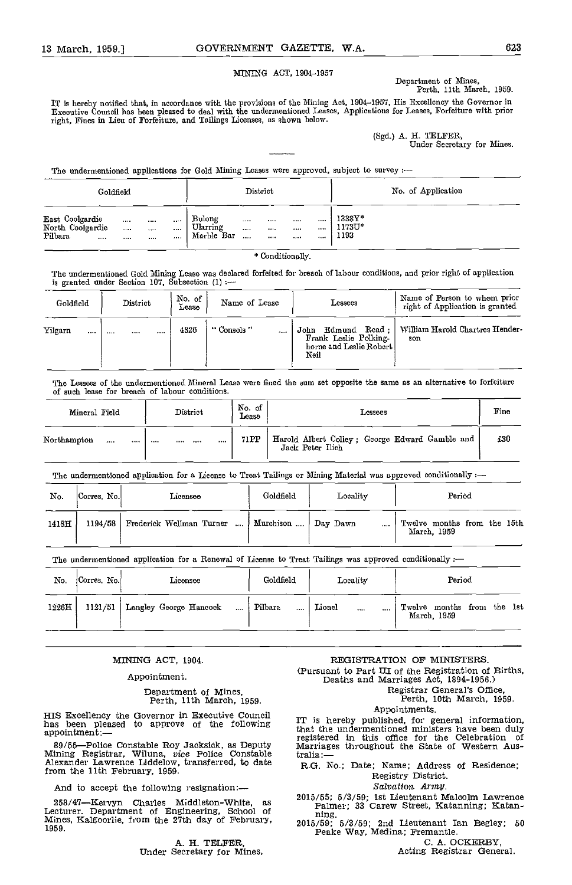#### NINING ACT, 1904-1957

Department of Mines, Perth, 11th March, 1959.

IT is hereby notified that, in accordance with the provisions of the Mining Act, 1904-1957, His Excellency the Governor in Executive Council has been pleased to deal with the imdermentioned Leases, Applications for Leases, Forfeiture with prior right, Fines in Lieu of Forfeiture, and Tailings Licenses, as shown below.

(Sgd.) A. H. TELFER,<br>Under Secretary for Mines.

The undermentioned applications for Gold Mining Leases were approved, subject to survey :-

| Goldfield                                          |                          |                          |               |                                  |                          | District                         |                  | No. of Application                     |  |
|----------------------------------------------------|--------------------------|--------------------------|---------------|----------------------------------|--------------------------|----------------------------------|------------------|----------------------------------------|--|
| East Coolgardie<br>North Coolgardie<br>Pilbara<br> | $\cdots$<br>$\cdots$<br> | $\cdots$<br>$\cdots$<br> | 1.1.1<br><br> | Bulong<br>Ularring<br>Marble Bar | $\cdots$<br>$\cdots$<br> | $\cdots$<br>$\cdots$<br>$\cdots$ | $\cdots$<br><br> | <br><br><br>$1338Y*$<br>1173U*<br>1193 |  |

\* Conditionally.

The undermentioned Gold Mining Lease was declared forfeited for breach of labour conditions, and prior right of application is granted under Section 107, Subsection (1)

| Goldfield   | District | No. of<br>Lease | Name of Lease | Lessees                                                                       | Name of Person to whom prior<br>right of Application is granted |
|-------------|----------|-----------------|---------------|-------------------------------------------------------------------------------|-----------------------------------------------------------------|
| Yilgarn<br> | <br>     | <br>4326        | "Consols"<br> | John Edmund Read:<br>Frank Leslie Polking-<br>horne and Leslie Robert<br>Neil | William Harold Chartres Hender-<br>son                          |

The Lessees of the undermentioned Mineral Lease were fined the sum set opposite the same as an alternative to forfeiture of such lease for breach of labour conditions.

| Mineral Field |          |      | District |           | No of<br>Lease | Lessees                                                            | Fino |  |
|---------------|----------|------|----------|-----------|----------------|--------------------------------------------------------------------|------|--|
| Northampton   | $\cdots$ | <br> |          | <br>1.1.1 | 71 PP          | Harold Albert Colley; George Edward Gamble and<br>Jack Peter Ilich | £30  |  |

The undermentioned application for a License to Treat Tailings or Mining Material was approved conditionally :-

| No.   | Corres No.      | Licensee |  | Goldfield                                         | Locality | Period                                         |
|-------|-----------------|----------|--|---------------------------------------------------|----------|------------------------------------------------|
| 1418H | $1194/58$ $\pm$ |          |  | Frederick Wellman Turner    Murchison    Day Dawn |          | <br>Twelve months from the 15th<br>March, 1959 |

The undermentioned application for a Renewal of License to Treat Tailings was approved conditionally :-

| No.   | Corres No. | Licensee                                     | Goldfield           | Locality               | Period                                    |
|-------|------------|----------------------------------------------|---------------------|------------------------|-------------------------------------------|
| 1226H |            | 1121/51   Langley George Hancock<br>$\cdots$ | Pilbara<br>$\cdots$ | Lionel<br>$\cdots$<br> | Twelve months from the 1st<br>March, 1959 |

#### MINING ACT, 1904.

#### Appointment.

Department of Mines, Perth, 11th March, 1959.

HIS Excellency the Governor in Executive Council<br>has been pleased to approve of the following that the undermentioned ministers have been duly appointment:-

89/55—Police Constable Roy Jacksick, as Deputy Marrig Mining Registrar, Wiluna, vice Police Constable  $\frac{1}{R \cdot G}$ . from the 11th February, 1959.

And to accept the following resignation:-

258/47—Kervyn Charles Middleton-White, as Lecturer, Department of Engineering, School of Mines, Kalgoorlie, from the 27th day of February, 1959.

A. H. TELFER, Under Secretary for Mines,

REGISTRATION OF MINISTERS. (Pursuant to Part HI of the Registration of Births, Deaths and Marriages Act, 1894-1956.)

Registrar General's Office, Perth, 10th March, 1959.

Appointments.<br>IT is hereby published, for general information,<br>that the undermentioned ministers have been duly<br>registered in this office for the Celebration of Marriages throughout the State of Western Aus-

R.G. No.; Date; Name; Address of Residence; Registry District.

Salvation. Army.

2015/55; 5/3/59; 1st Lieutenant Malcolm Lawrence Palmer; 33 Carew Street, Katanning; Katan-

fling. 2015/59; 5/3/59; 2nd Lieutenant Ian Begley; <sup>50</sup> Peake Way, Medina; Fremantle.

Acting Registrar General.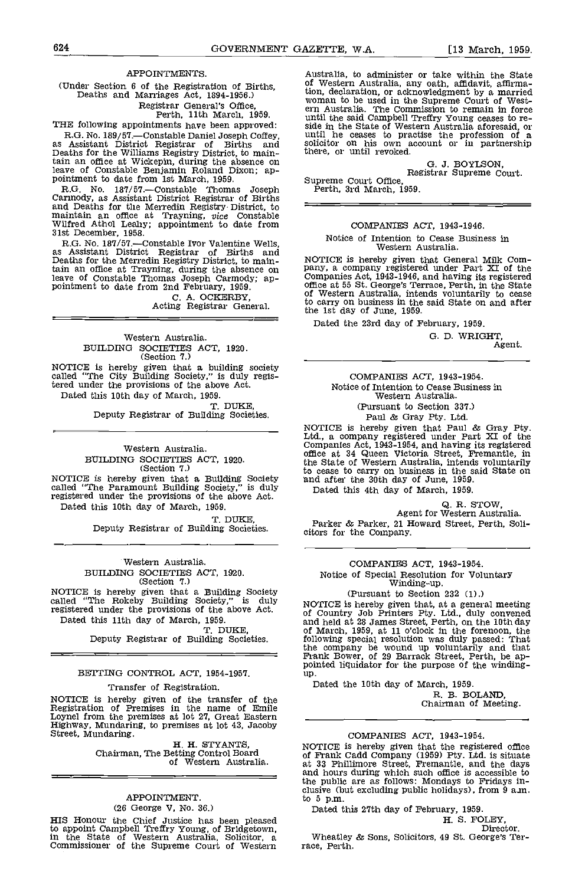### APPOINTMENTS.

(Under Section 6 of the Registration of Births, Deaths and Marriages Act, 1894-1956.) Registrar General's Office, Perth, 11th March, 1959.

THE following appointments have been approved:

R.G. No. 189/57.—Constable Daniel Joseph Coffey, as Assistant District Registrar of Births and Deaths for the Williams Registry District, to maintain an office at Wickepin, during the absence on leave of Constable Benjamin Roland Dixon; ap- pointment to date from 1st March, 1959.

R.G. No. 187/57.--Constable Thomas Joseph Refth, 3rd March, 1959.<br>Carmody, as Assistant District Registrar of Births and Deaths for the Merredin Registry District, to maintain an office at Trayning, vice Constable Wilfred Athol Leahy; appointment to date from 31st December, 1958.

R.G. No. 187/57.—Constable Ivor Valentine Wells,<br>as Assistant District Registrar of Births and<br>Deaths for the Merredin Registry District, to maintain an office at Trayning, during the absence on pany,<br>leave of Constable Thomas Joseph Carmody; ap-<br>pointment to date from 2nd February, 1959. Office:

C. A. OCKERBY, Acting Registrar General.

#### Western Australia. BUILDING SOCIETIES ACT, 1920. (Section 7.)

NOTICE is hereby given that a building society called "The City Building Society," is duly registered under the provisions of the above Act. Dated this 10th day of March, 1959.<br>T. DUKE.

Deputy Registrar of Building Societies.

Western Australia BUILDING SOCIETIES ACT, 1920. (Section 7.) NOTICE is hereby given that a Building Society and af

called "The Paramount Building Society," is duly  $\overline{a}$   $\overline{a}$ registered under the provisions of the above Act. Dated this 10th day of March, 1959.

T. DUKE,<br>Deputy Registrar of Building Societies.

## Western Australia.

BUILDING SOCIETIES ACT, 1920. (Section 7.)

NOTICE is hereby given that a Building Society called "The Rokeby Building Society," is duly  $_{\text{NOT}}$ registered under the provisions of the above Act.

Dated this 11th day of March, 1959.<br>T. DUKE.

Deputy Registrar of Building Societies.

#### BETTING CONTROL ACT, 1954-1957.

#### Transfer of Registration.

NOTICE is hereby given of the transfer of the Registration of Premises in the name of Emile Loynel from the premises at lot 27, Great Eastern Highway, Mundaring, to premises at lot 43, Jacoby Street, Mundaring.<br>H. H. STYAN

Chairman, The Betting Control Board<br>of Western Australia.

## APPOINTMENT.

(26 George V, No. 36.)

HIS Honour the Chief Justice has been pleased to appoint Campbell Treffry Young, of Bridgetown,<br>in the State of Western Australia, Solicitor, a Whe<br>Commissioner of the Supreme Court of Western race, 1

Australia, to administer or take within the State of Western Australia, any oath, affidavit, affirmation, declaration, or acknowledgment by a married tion, declaration, or acknowledgment by a married woman to be used in the Supreme Court of West- ern Australia. The Commission to remain in force until the said Campbell Treffry Young ceases to re-<br>side in the State of Western Australia aforesaid, or<br>until he ceases to practise the profession of a<br>solicitor on his own account or in partnership<br>there, or until revoke

G. J. BOYLSON, Registrar Supreme Court.

#### COMPANIES ACT, 1943-1946.

Notice of Intention to Cease Business in Western Australia.

NOTICE is hereby given that General Milk Company, a company registered under Part XI of the Companies Act, 1943-1946, and having its registered office at 55 St. George's Terrace, Perth, in the State of Western Australia, i to carry on business in the said State on and after the 1st day of June, 1959.

Dated the 23rd day of February, 1959.

G. D. WRIGHT, Agent.

#### COMPANIES ACT, 1943-1954. Notice of Intention to Cease Business in Western Australia. (Pursuant to Section 337.) Paul & Gray Pty. Ltd.

NOTICE is hereby given that Paul & Gray fly. Ltd., a company registered under Part XI of the Companies Act, 1943-1954, and having its registered office at 34 Queen Victoria Street, Fremantle, in the State of Western Australia, intends voluntarily to cease to carry on business in the said State on nd after the 30th day of June, 1959.<br>Dated this 4th day of March, 1959.

Q. R. STOW, Agent for Western Australia. Parker & Parker, 21 Howard Street, Perth, Soli- citors for the Company.

### COMPANIES ACT, 1943-1954.

Notice of Special Resolution for Voluntary Winding-up.

(Pursuant to Section 232 (1).)

NOTICE is hereby given that, at a general meeting<br>of Country Job Printers Pty. Ltd., duly convened and held at 28 James Street, Perth, on the 10th day of March, 1959, at 11 o'clock in the forenoon, the following special resolution was duly passed: That the company be wound up voluntarily and that Frank Bower, of 29 Barrack Street, Perth, be ap- pointed liquidator for the purpose of the winding-up.

Dated the 10th day of March, 1959.<br>R. B. BOLAND,

Chairman of Meeting.

#### COMPANIES ACT, 1943-1954.

NOTICE is hereby given that the registered office of Frank Cadd Company (1959) Pty. Ltd. is situate at 33 Phillimore Street, Fremantle, and the days and hours during which such office is accessible to the public are as follows: Mondays to Fridays in-<br>clusive (but excluding public holidays), from 9 a.m.<br>to 5 p.m.

Dated this 27th day of February, 1959.

Wheatley & Sons, Solicitors, 49 St. George's Ter- race, Perth.

H. S. FOLEY, Director.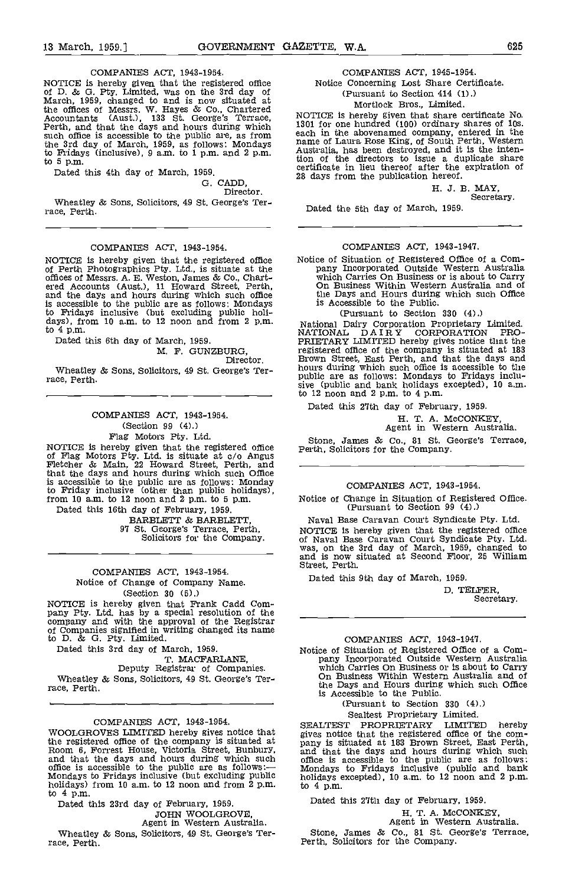#### COMPANIES ACT, 1943-1954.

NOTICE is hereby given that the registered office of ID. & G. Pty. Limited, was on the 3rd day of March, 1959, changed to and is now situated at the offices of Messrs. W. Hayes & Co., Chartered<br>Accountants (Aust.), 133 St. George's Terrace, Perth, and that the days and hours during which 1301 f such office is accessible to the public are, as from each in the the 3rd day of March, 1959, as follows: Mondays hard to Fridays (inclusive),  $9$  a.m. to  $1$  p.m. and  $2$  p.m. to  $5$  p.m.

to 5 p.m.<br>Dated this 4th day of March, 1959.

G. CADD,

Director.

Wheatley & Sons, Solicitors, 49 St. George's Ter- race, Perth.

#### COMPANIES ACT, 1943-1954.

and the days and hours during which such office<br>is accessible to the public are as follows: Mondays to Fridays inclusive (but excluding public holi-<br>days), from 10 a.m. to 12 noon and from 2 p.m.<br>to 4 p.m.

Dated this 6th day of March, 1959.

M. F. GUNZBURG,<br>Director.

Wheatley & Sons, Solicitors, 49 St. George's Ter- race, Perth.

COMPANIES ACT, 1943-1954. (Section 99 (4).)

Flag Motors Pty. Ltd.<br>NOTICE is hereby given that the registered office NGTICE is hereby given that the registered office of Flag Motors Pty. Ltd. is situate at do Angus Fletcher & Main, 22 Howard Street, Perth, and that the days and hours during which such Office is accessible to the public are as follows: Monday to Friday inclusive (other than public holidays), from 10 am, to 12 noon and 2 p.m. to 5 p.m.

Dated this 16th day of February, 1959.

97 St. George's Terrace, Perth,<br>Solicitors for the Company.

#### COMPANIES ACT, 1943-1954. Notice of Change of Company Name. (Section 30 (5).)

NOTICE is hereby given that Frank Cadd Com- pany Pty. Ltd. has by a special resolution of the company and with the approval of the Registrar of Company and with the approval of the Registrar of Companies signified in writing changed its name to D. & G. Fty. Limited.

Dated this 3rd day of March, 1959.<br>T. MACFARLANE,

Deputy Registrar of Companies. Wheatley & Sons, Solicitors, 49 St. George's Ter- race, Perth.

COMPANIES ACT, 1943-1954.<br>WOOLGROVES LIMITED hereby gives notice that WOOLGROUGGROUGHT HEREBURG Of the company is situated at Room 6, Forrest House, Victoria Street, Bunbury, and that the days and hours during which such office is accessible to the public are as follows:— Mondays to Fridays inclusive (but excluding public holidays including holidays) from 10 a.m. to 12 noon and from 2 p.m. to 4 p.m.

Dated this 23rd day of February, 1959. JOHN WOOLGROVE,<br>Agent in Western Australia.

Wheatley & Sons, Solicitors, 49 St. George's Ter- race, Perth.

## COMPANIES ACT, 1945-1954.

Notice Concerning Lost Share Certificate. (Pursuant to Section 414 (1).)

## Mortlock Bros., Limited.

NOTICE is hereby given that share certificate No.<br>1301 for one hundred (100) ordinary shares of 10s.<br>each in the abovenamed company, entered in the<br>name of Laura Rose King, of South Perth, Western<br>Australia, has been destr tion of the directors to issue a duplicate share certificate in lieu thereof after the expiration of 28 days from the publication hereof.

H. 3. B. MAY, Secretary.

Dated the 5th day of March, 1959.

#### COMPANIES ACT, 1943-1947.

NOTICE is hereby given that the registered office Motice of Situation of Registered Office of a Com-<br>of Perth Photographics Pty. Ltd., is situate at the pany Incorporated Outside Western Australia<br>offices of Messrs. A. E. Notice of Situation of Registered Office of a Company Incorporated Outside Western Australia<br>which Carries On Business or is about to Carry<br>On Business Within Western Australia and of<br>the Days and Hours during which such O is Accessible to the Public.

(Pursuant to Section 330 (4).)

National Dairy Corporation Proprietary Limited. NATIONAL DAIRY CORPORATION PRO-PRIETARY LIMITED hereby gives notice that the registered office of the company is situated at 183 Brown Street, East Perth, and that the days and hours during which such office is accessible to the public are as follows: Mondays to Fridays inclusive (public and bank holidays excepted), 10 a.m. to 12 noon and 2 p.m. to 4 p.m.

Dated this 27th day of February, 1959.

H. T. A. McCONKEY, Agent in Western Australia.

Stone, James & Co., 81 St. George's Terrace, Perth, Solicitors for the Company.

#### COMPANIES ACT, 1943-1954.

Notice of Change in Situation of Registered Office. (Pursuant to Section 99 (4).)

Naval Base Caravan Court Syndicate Pty. Ltd. NOTICE is hereby given that the registered office<br>of Naval Base Caravan Court Syndicate Pty. Ltd.<br>was, on the 3rd day of March, 1959, changed to and is now situated at Second Floor, 25 William Street, Perth.

Dated this 9th day of March, 1959.

ID. TELFER, Secretary.

COMPANIES ACT, 1943-1947.<br>Notice of Situation of Registered Office of a Com-Notice of Situation of Registered Office of a Com- pany Incorporated Outside Western Australia which Carries On Business or is about to Carry On Business Within Western Australia and of the Days and Hours during which such Office is Accessible to the Public.

(Pursuant to Section 330 (4).)

Sealtest Proprietary Limited.

SEALTEST PROPRIETARY LIMITED hereby gives notice that the registered office of the com-<br>pany is situated at 183 Brown Street, East Perth, and that the days and hours during which such office is accessible to the public are as follows: Mondays to Fridays inclusive (public and bank holidays excepted), 10 a.m. to 12 noon and 2 p.m.<br>to 4 p.m.

Dated this 27th day of February, 1959.

H. T. A. McCONKEY, Agent in Western Australia.

Stone, James & Co., 81 St. George's Terrace, Perth, Solicitors for the Company.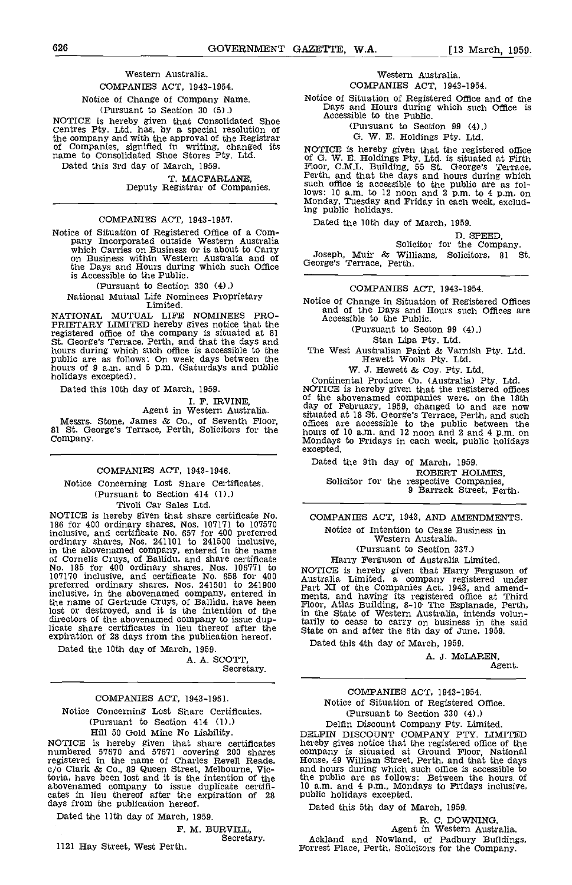#### Western Australia.

COMPANIES ACT, 1943-1954.

Notice of Change of Company Name.

(Pursuant to Section 30 (5).)

NOTICE is hereby given that Consolidated Shoe<br>Centres Pty. Ltd. has, by a special resolution of the company and with the approval of the Registrar<br>of Companies, signified in writing, changed its nor<br>name to Consolidated Shoe Stores Pty. Ltd. of C Dated this 3rd day of March 1959.

T. MACFARLANE, Deputy Registrar of Companies.

#### COMPANIES ACT, 1943-1957.

Notice of Situation of Registered Office of a Company<br>pany Incorporated outside Western Australia<br>which Carries on Business or is about to Carry<br>on Business within Western Australia and of<br>the Days and Hours during which s is Accessible to the Public.

(Pursuant to Section 330 (4).)

National Mutual Life Nominees Proprietary<br>
Limited. Notice of Change in Situation of Resistered Offices

NATIONAL MUTUAL LIFE NOMINEES PRO-PRIETARY LIMITED hereby gives notice that the registered office of the company is situated at 81 St. George's Terrace, Perth, and that the days and hours during which such office is accessible to the hours during which such of 9 a.m. and 5 p.m. (Saturdays and public is accepted).<br>
hours of 9 a.m. and 5 p.m. (Saturdays and public is accepted).<br>
Hewett & Coy. Pty. Ltd.<br>
Continental Produce Co. (Australia) Pty. Ltd.

Dated this 10th day of March, 1959.

I. F. IRVINE, Agent in Western Australia.

Messrs. Stone, James & Co., of Seventh Floor, 81 St. George's Terrace, Perth, Solicitors for the Company.

#### COMPANIES ACT, 1943-1946.

Notice Concerning Lost Share Certificates. (Pursuant to Section 414 (1).) Tivoli Car Sales Ltd.

NOTICE is hereby given that share certificate No, 186 for 400 ordinary shares, Nos. 107171 to 107570 inclusive, and certificate No. 657 for 400 preferred<br>ordinary shares, Nos. 241101 to 241500 inclusive,<br>in the abovenamed company, entered in the name<br>of Cornelis Cruys, of Ballidu, and share certificate<br>No. 185 for 400 ord 107170 inclusive, and certificate No. 658 for 400 Austral preferred ordinary shares, Nos. 241501 to 241900 Part inclusive, in the abovenamed company, entered in the state of the companies and having its registered office at Third the name of Gertrude Cruys, of Ballidu, have been lost or destroyed, and it is the intention of the directors of the abovenamed company to issue duplicate share certificates in lieu thereof after the state<br>expiration of 28 days from the publication hereof.

Dated the 10th day of March, 1959. A. A. SCOTT,

Secretary,

#### COMPANIES ACT, 1943-1951.

Notice Concerning Lost Share Certificates. (Pursuant to Section 414 (1).)

Hill 50 Gold Mine No Liability. NOTICE is hereby given that share certificates numbered 57670 and 57671 covering 200 shares registered in the name of Charles Revell Reade, 1<br>c/o Clark & Co., 89 Queen Street, Melbourne, Victoria, have been lost and it is the intention of the abovenamed company to issue duplicate certifi- cates in lieu thereof after the expiration of 28 days from the publication hereof,

Dated the 11th day of March, 1959.

# F. M. BURVILL,<br>Secretary.

1121 Hay Street, West Perth.

#### Western Australia. COMPANIES ACT, 1943-1954.

Notice of Situation of Registered Office and of the Days and Hours during which such Office is Accessible to the Public.

(Pursuant to Section 99 (4).)

G. W. E. Holdings Pty. Ltd.

NOTICE is hereby given that the registered office of G. W. E. Holdings Pty. Ltd. is situated at Fifth Floor, C.M.L. Building, 55 St. George's Terrace, Perth, and that the days and hours during which such office is accessible to the public are as follows: 10 a.m, to 12 noon and 2 p.m. to 4 p.m. on Monday, Tuesday and Friday in each week, excluding public holidays.

Dated the 10th day of March, 1959.

D. SPEED,<br>Solicitor for the Company.

Muir & Williams, Solicitors, 81 St. Joseph, Muir & Will<br>George's Terrace, Perth.

COMPANIES ACT, 1943-1954.

Notice of Change in Situation of Registered Offices are Accessible to the Public.

(Pursuant to Secton 99 (4).)

Stan Lipa Pty. Ltd.

The West Australian Paint & Varnish Pty. Ltd. Hewett Wools Pty. Ltd

W. J. Hewett & Coy. Pty. Ltd.

NOTICE is hereby given that the registered offices of the abovenamed companies were, on the 18th day of February, 1959, changed to and are now situated at 18 St. George's Terrace, Perth, and such situation at 18 St. George's Terrace, Perth, and 12 noon and 2 and 4 p.m. on Mondays to Fridays in each week, public holidays excepted.

Dated the 9th day of March, 1959, Solicitor for the respective Companies,<br>9 Barrack Street, Perth.

COMPANIES ACT, 1943, AND AMENDMENTS. Notice of Intention to Cease Business in Western Australia. (Pursuant to Section 337.)

Harry Ferguson of Australia Limited.

NOTICE is hereby given that Harry Ferguson of<br>Australia Limited, a company registered under<br>Part XI of the Companies Act, 1943, and amend-Floor, Atlas Building, 8-10 The Esplanade, Perth, in the State of Western Australia, intends voluntarily to cease to carry on business in the said State on and after the 6th day of June, 1959.

Dated this 4th day of March, 1959.

A. J. McLAREN,

Agent.

COMPANIES ACT, 1943-1954. Notice of Situation of Registered Office. (Pursuant to Section 330 (4).) Delfin Discount Company Pty. Limited. DELFIN DISCOUNT COMPANY PTY. LIMITED company is situated at Ground Floor, National House, 49 William Street, Perth, and that the days the public are as follows: Between the hours of 10 a.m. and 4 p.m., Mondays to Fridays inclusive, public holidays excepted.

Dated this 5th day of March, 1959.

R. C. DOWNING,<br>Agent in Western Australia.<br>Ackland and Nowland, of Padbury Buildings,<br>Forrest Place, Perth, Solicitors for the Company.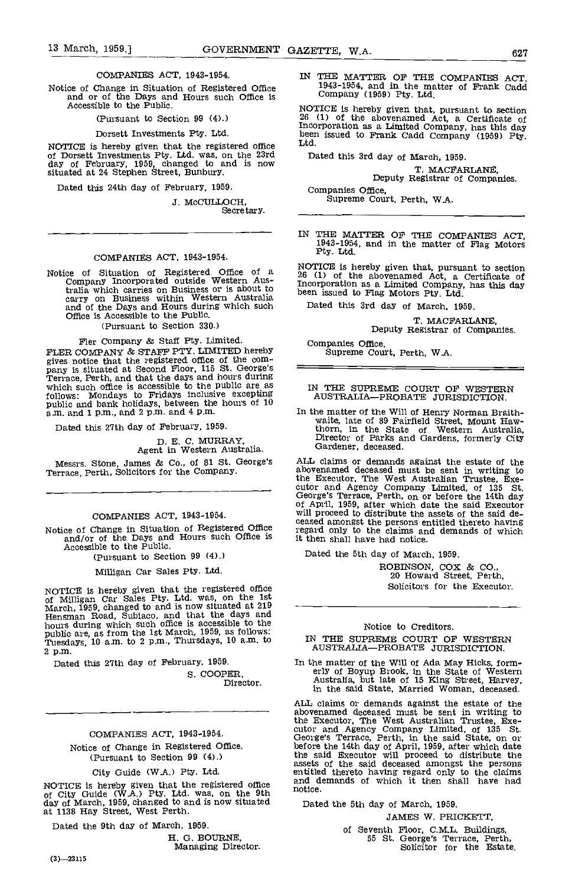#### COMPANIES ACT, 1943-1954.

Notice of Change in Situation of Registered Office and or of the Days and Hours such Office is Accessible to the Public.

(Pursuant to Section 99 (4).)

Dorsett Investments Pty. Ltd.

NOTICE is hereby given that the registered office Ltd.<br>
of Dorsett Investments Pty. Ltd. was, on the 23rd Dated this<br>
day of February, 1959, changed to and is now<br>
situated at 24 Stephen Street, Bunbury.

Dated this 24th day of February, 1959.

J. McCULLOCH,<br>Secretary.

#### COMPANIES ACT, 1943-1954.

Notice of Situation of Registered Office of a TAG Company Incorporated outside Western Australia which carries on Business or is about to been carry on Business within Western Australia and of the Days and Hours during which such Office is Accessible to the Public.

(Pursuant to Section 330.)

Fler Company & Staff Pty. Limited.<br>FLER COMPANY & STAFF PTY. LIMITED hereby FLER COMPANY & STAFF PTY. LIMITED hereby<br>gives notice that the registered office of the com-<br>pany is situated at Second Floor, 115 St. George's<br>Terrace, Perth, and that the days and hours during<br>which such office is acces follows: Mondays to Fridays inclusive excepting public and bank holidays, between the hours of 10 a.m. and 1 p.m., and 2 p.m. and 4 p.m.

Dated this 27th day of February, 1959.

D. E. C. MURRAY, Agent in Western Australia.

Messrs. Stone, James & Co., of 81 St. George's Terrace, Perth, Solicitors for the Company.

#### COMPANIES ACT, 1943-1954.

Notice of Change in Situation of Registered Office and/or of the Days and Hours such Office is Accessible to the Public.

(Pursuant to Section 99 (4).)

Milligan Car Sales Pty. Ltd.

NOTICE is hereby given that the registered office of Milligan Car Sales Pty. Ltd. was, on the 1st March, 1959, changed to and is now situated at 219 March, 1959, changed to and is now situated at 219 Hensman Road, Subiaco, and that the days and hours during which such office is accessible to the public are, as from the 1st March, 1959, as follows:<br>public are, as from the 1st March, 1959, as follows:<br>Tuesdays, 10 a.m. to 2 p.m., Thursdays, 10 a.m. to 2 p.m.

Dated this 27th day of February, 1959.

S. COOPER,<br>Director.

## COMPANIES ACT, 1943-1954.

Notice of Change in Registered Office. (Pursuant to Section 99 (4).)

City Guide (W.A.) Pty. Ltd.

NOTICE is hereby given that the registered office and domorphic of City Guide (W.A.) Pty. Ltd. was, on the 9th notice.<br>day of March, 1959, changed to and is now situated pate at 1138 Hay Street, West Perth.

Dated the 9th day of March, 1959.

H. G. BOURNE, Managing Director.

IN THE MATTER OF THE COMPANIES ACT, 1943-1954, and in the matter of Frank Cadd Company (1959) Pty. Ltd.

NOTICE Is hereby given that, pursuant to section 26 (1) of the abovenamed Act, a Certificate of Incorporation as a Limited Company, has this day been issued to Frank Cadd Company (1959) Pty. Ltd.

Dated this 3rd day of March, 1959.

T. MACFARLANE, Deputy Registrar of Companies.

Companies Office, Supreme Court, Perth, W.A.

IN THE MATTER OF THE COMPANIES ACT, 1943-1954, and in the matter of Flag Motors Pty. Ltd.

NOTICE Is hereby given that, pursuant to section 26 (1) of the abovenamed Act, a Certificate of Incorporation as a Limited Company, has this day been issued to Flag Motors Pty, Ltd.

Dated this 3rd day of March, 1959.

T. MACFARLANE, Deputy Registrar of Companies.

Companies Office, Supreme Court, Perth, W.A.

#### IN THE SUPREME COURT OF WESTERN AUSTRALIA-PROBATE JURISDICTION.

In the matter of the Will of Henry Norman Braith- waite, late of 89 Fairfield Street, Mount Haw- thorn, in the State of Western Australia, Director of Parks and Gardens formerly City Gardener, deceased.

ALL claims or demands against the estate of the abovenamed deceased must be sent in writing to the Executor, The West Australian Trustee, Exe- cutor and Agency Company Limited, of 135 St. George's Terrace, Perth, on or before the 14th day of April, 1959, after which date the said Executor will proceed to distribute the assets of the said de- ceased amongst the persons entitled thereto having will proceed to distribute the assets of the said de-<br>ceased amongst the persons entitled thereto having<br>regard only to the claims and demands of which it then shall have had notice.

Dated the 5th day of March, 1959.

ROBINSON, COX & CO., 20 Howard Street, Perth, Solicitors for the Executor.

#### Notice to Creditors.

IN THE SUPREME COURT OF WESTERN AUSTRALIA-PROBATE JURISDICTION.

In the matter of the Will of Ada May Hicks, form- erly of Boyup Brook, in the State of Western Australia, but late of 15 King Street, Harvey, in the said State, Married Woman, deceased.

ALL claims or demands against the estate of the abovenamed deceased must be sent in writing to the Executor, The West Australian Trustee, Exe- cutor and Agency Company Limited, of 135 St. George's Terrace, Perth, in the said State, on or before the 14th day of April, 1959, after which date the said Executor will proceed to distribute the assets of the said deceased amongst the persons entitled thereto having regard only to the claims and demands of which it then shall have had notice.

Dated the 5th day of March, 1959.

JAMES W. PRICKETT,

of Seventh floor, C.M..L, Buildings, 55 St. George's Terrace, Perth, Solicitor for the Estate.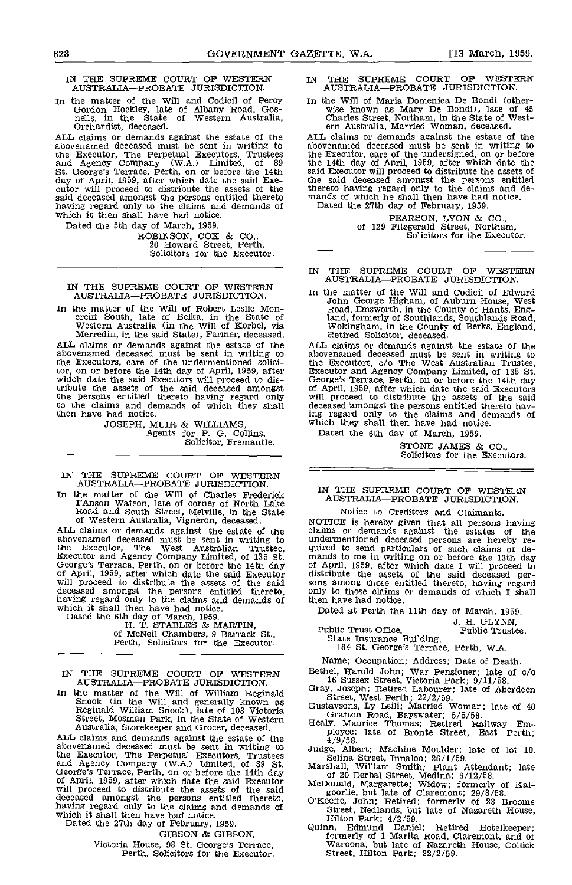#### IN THE SUPREME COURT OF WESTERN IN THE AUSTRALIA-PROBATE JURISDICTION.

In the matter of the Will and Codicil of Percy In the Will of Maria Domenica De Bondi (other Gordon Hockley, late of Albany Road, Gos- wise known as Mary De Bondi), late of 4th rells, in the State of Western Australia, Cha Orchardist, deceased.

ALL claims or demands against the estate of the abovenamed deceased must be sent in writing to abover the Executor, The Perpetual Executors, Trustees and Agency Company (W.A.) Limited, of 89 the St. George's Terrace, Perth, on or before the 14th day of April, 1959, after which date the said Exe- cutor will proceed to distribute the assets of the having regard only to the claims and demands of which it then shall have had notice.

Dated the 5th day of March, 1959.

ROBINSON, COX & CO.,<br>20 Howard Street, Perth,<br>Solicitors for the Executor.

#### IN THE SUPREME COURT OF WESTERN The rate AUSTRALIA-PROBATE JURISDICTION.

ALL claims or demands against the estate of the abovenamed deceased must be sent in writing to abover<br>the Executors, care of the undermentioned solici-<br>the Executors, care of the undermentioned solicitor, on or before the 14th day of April, 1959, after which date the said Executors will proceed to distribute the assets of the said deceased amongst the persons entitled thereto having regard only will pr to the claims and demands of which they shall then have had notice.

JOSEPH, MUIR & WILLIAMS, Agents for P. G. Collins, Solicitor, Fremantle.

IN THE SUPREME COURT OF WESTERN AUSTRALIA-PROBATE JURISDICTION.

In the matter of the Will of Charles Frederick  $\begin{array}{cc} \text{IN} & \text{T} \\ \text{ATI} & \text{ATI} \end{array}$ I'Anson Watson, late of corner of North Lake Road and South Street, Melville, in the State of Western Australia, Vigneron, deceased.

ALL claims or demands against the estate of the abovenamed deceased must be sent in writing to<br>the Executor, The West Australian Trustee, quired<br>Executor and Agency Company Limited, of 135 St. mands<br>George's Terrace, Perth, on or before the 14th day of Apri<br>of April, 19 deceased amongst the persons entitled thereto, only having regard only to the claims and demands of the which it shall then have had notice.

Dated the 6th day of March, 1959.<br>H. T. STABLES & MARTIN,<br>of McNeil Chambers, 9 Barrack St.,<br>Perth, Solicitors for the Executor.

IN THE SUPREME COURT OF WESTERN AUSTRALIA-PROBATE JURISDICTION.

In the matter of the Will of William Reginald Snook (in the Will and generally known as Reginald William Snook), late of 108 Victoria Street, Mosman Park, in the State of Western Australia, Storekeeper and Grocer, deceased.

ALL claims and demands against the estate of the  $4/9/58$ <br>abovenamed deceased must be sent in writing to  $\frac{4}{9/58}$ . the Executor, The Perpetual Executors, Trustees<br>and Agency Company (W.A.) Limited, of 89 St.<br>George's Terrace, Perth, on or before the 14th day<br>of April, 1959, after which date the said Executor<br>will proceed to distribute deceased amongst the persons entitled thereto, O'j<br>having regard only to the claims and demands of<br>which it shall then have had notice. which it shall then have had notice.<br>Dated the 27th day of February, 1959.

GIBSON & GIBSON,

Victoria House, 98 St. George's Terrace, Perth, Solicitors for the Executor.

- SUPREME COURT OF WESTERN AUSTRALIA-PROBATE JURISDICTION.
- In the Will of Maria Domenica De Bondi), late of 45<br>Charles Street, Northam, in the State of West-<br>ern Australia, Married Woman, deceased.

ALL claims or demands against the estate of the abovenamed deceased must be sent in writing to the Executor, care of the undersigned, on or before the 14th day of April, 1959, after which date the said Executor will proceed to distribute the assets of the said deceased amongst the persons entitled thereto having regard only to the claims and de- mands of which he shall then have had notice. Dated the 27th day of February, 1959.

PEARSON, LYON & CO., of 129 Fitzgerald Street, Northam, Solicitors for the Executor.

#### IN THE SUPREME COURT OF WESTERN AUSTRALIA-PROBATE JURISDICTION.

In the matter of the Will of Robert Leslie Mon-<br>creiff South, late of Belka, in the State of Western Australia (in the Will of Korbel, via Wokingham, in the County of Hants, England,<br>Western Australia (in the Will of Korbe In the matter of the Will and Codicil of Edward John George Higham, of Auburn House, West Road, Emsworth, in the County of Hants, England, formerly of Southlands, Southlands Road,<br>Wokingham, in the County of Berks, England,<br>Retired Solicitor, deceased.

ALL claims or demands against the estate of the abovenamed deceased must be sent in writing to the Executors, 0/0 The West Australian Trustee, Executor and Agency Company Limited, of 135 St. George's Terrace, Perth, on or before the 14th day of April, 1959, after which date the said Executors<br>will proceed to distribute the assets of the said<br>deceased amongst the persons entitled thereto hav-<br>ing regard only to the claims and demands of<br>which they shall then ha

STONE JAMES & CO.,<br>Solicitors for the Executors.

#### IN TIlE SUPREME COURT OP WESTERN AUSTRALIA-PROBATE JURISDICTION.

Notice to Creditors and Claimants. NOTICE is hereby given that all persons having claims or demands against the estates of the undermentioned deceased persons are hereby re-<br>quired to send particulars of such claims or de-<br>mands to me in writing on or before the 13th day<br>of April, 1959, after which date I will proceed to<br>distribute the assets of t only to those claims or demands of which I shall then have had notice.

Dated at Perth the 11th day of March, 1959.

J. H. GLYNN, Public Trust Ofiloe, Public Trustee. State Insurance Building, 184 St. George's Terrace, Perth, WA.

Name; Occupation; Address; Date of Death. Bethel, Harold John; War Pensioner; late of c/o

- 
- 
- 
- 16 Sussex Street, Victoria Park;  $9/11/58$ .<br>Gray, Joseph; Retired Labourer; late of Aberdeen<br>Street, West Perth;  $22/2/59$ .<br>Gustavsons, Ly Leili; Married Woman; late of 40<br>Grafton Road, Bayswater;  $5/55/58$ .<br>Healy, Mauric
- 
- 
- 
- Judge, Albert; Machine Moulder; late of lot 10,<br>Selina Street, Innaloo; 26/1/59.<br>Marshall, William Smith; Plant Attendant; late<br>of 20 Derbal Street, Medina; 6/12/58.<br>McDonald, Margarette; Widow; formerly of Kal-<br>goorlie, b
- Quinn, Edmund Daniel; Retired Hotelkeeper; formerly of 1 Marita Road, Claremont, and of Waroona, but late of Nazareth House, Collick Street, Hilton Park; 22/2/59.